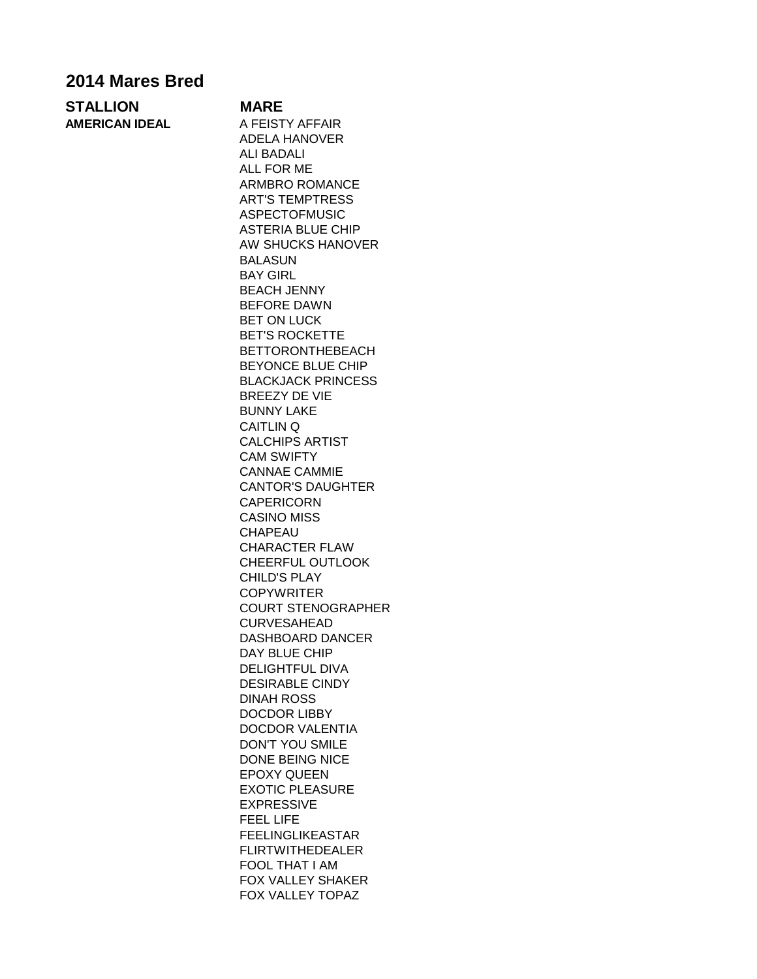## **2014 Mares Bred**

| <b>STALLION</b> | <b>MARE</b>                                                                          |  |
|-----------------|--------------------------------------------------------------------------------------|--|
| AMERICAN IDEAL  | A FEISTY AFFAIR                                                                      |  |
|                 | $\Lambda$ $\Gamma$ $\Gamma$ $\Lambda$ $\Gamma$ $\Lambda$ $\Lambda$ $\Gamma$ $\Gamma$ |  |

ADELA HANOVER ALI BADALI ALL FOR ME ARMBRO ROMANCE ART'S TEMPTRESS ASPECTOFMUSIC ASTERIA BLUE CHIP AW SHUCKS HANOVER BALASUN BAY GIRL BEACH JENNY BEFORE DAWN BET ON LUCK BET'S ROCKETTE BETTORONTHEBEACH BEYONCE BLUE CHIP BLACKJACK PRINCESS BREEZY DE VIE BUNNY LAKE CAITLIN Q CALCHIPS ARTIST CAM SWIFTY CANNAE CAMMIE CANTOR'S DAUGHTER CAPERICORN CASINO MISS CHAPEAU CHARACTER FLAW CHEERFUL OUTLOOK CHILD'S PLAY **COPYWRITER** COURT STENOGRAPHER CURVESAHEAD DASHBOARD DANCER DAY BLUE CHIP DELIGHTFUL DIVA DESIRABLE CINDY DINAH ROSS DOCDOR LIBBY DOCDOR VALENTIA DON'T YOU SMILE DONE BEING NICE EPOXY QUEEN EXOTIC PLEASURE EXPRESSIVE FEEL LIFE FEELINGLIKEASTAR FLIRTWITHEDEALER FOOL THAT I AM FOX VALLEY SHAKER FOX VALLEY TOPAZ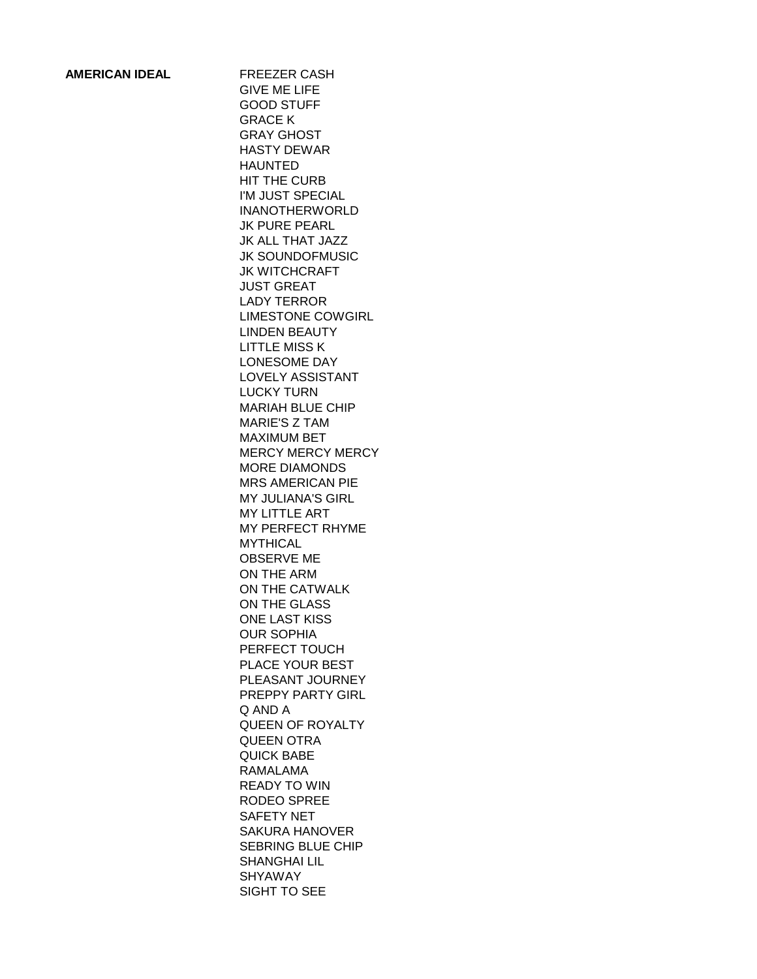## **AMERICAN IDEAL** FREEZER CASH

GIVE ME LIFE GOOD STUFF GRACE K GRAY GHOST HASTY DEWAR HAUNTED HIT THE CURB I'M JUST SPECIAL INANOTHERWORLD JK PURE PEARL JK ALL THAT JAZZ JK SOUNDOFMUSIC JK WITCHCRAFT JUST GREAT LADY TERROR LIMESTONE COWGIRL LINDEN BEAUTY LITTLE MISS K LONESOME DAY LOVELY ASSISTANT LUCKY TURN MARIAH BLUE CHIP MARIE'S Z TAM MAXIMUM BET MERCY MERCY MERCY MORE DIAMONDS MRS AMERICAN PIE MY JULIANA'S GIRL MY LITTLE ART MY PERFECT RHYME MYTHICAL OBSERVE ME ON THE ARM ON THE CATWALK ON THE GLASS ONE LAST KISS OUR SOPHIA PERFECT TOUCH PLACE YOUR BEST PLEASANT JOURNEY PREPPY PARTY GIRL Q AND A QUEEN OF ROYALTY QUEEN OTRA QUICK BABE RAMALAMA READY TO WIN RODEO SPREE SAFETY NET SAKURA HANOVER SEBRING BLUE CHIP SHANGHAI LIL SHYAWAY SIGHT TO SEE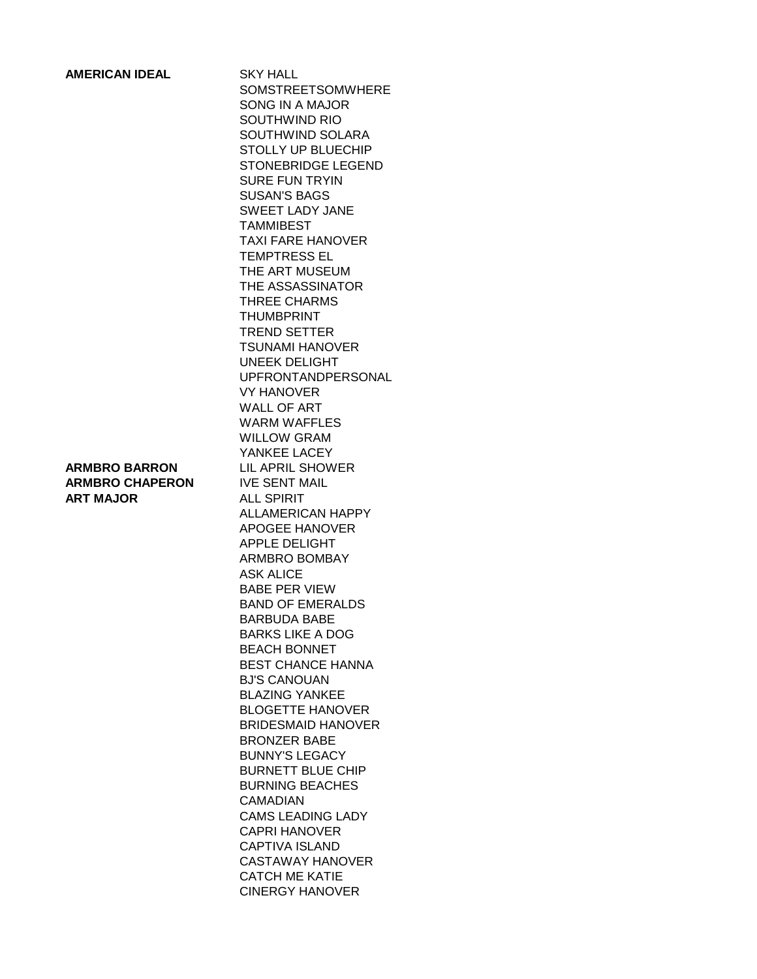| <b>AMERICAN IDEAL</b>                                              | <b>SKY HALL</b><br><b>SOMSTREETSOMWHERE</b><br><b>SONG IN A MAJOR</b><br>SOUTHWIND RIO<br>SOUTHWIND SOLARA<br><b>STOLLY UP BLUECHIP</b><br><b>STONEBRIDGE LEGEND</b><br><b>SURE FUN TRYIN</b><br><b>SUSAN'S BAGS</b><br><b>SWEET LADY JANE</b><br><b>TAMMIBEST</b><br><b>TAXI FARE HANOVER</b><br><b>TEMPTRESS EL</b><br>THE ART MUSEUM<br>THE ASSASSINATOR<br>THREE CHARMS<br><b>THUMBPRINT</b><br><b>TREND SETTER</b><br><b>TSUNAMI HANOVER</b><br><b>UNEEK DELIGHT</b><br><b>UPFRONTANDPERSONAL</b><br><b>VY HANOVER</b><br><b>WALL OF ART</b><br><b>WARM WAFFLES</b><br><b>WILLOW GRAM</b><br>YANKEE LACEY                                                                              |
|--------------------------------------------------------------------|---------------------------------------------------------------------------------------------------------------------------------------------------------------------------------------------------------------------------------------------------------------------------------------------------------------------------------------------------------------------------------------------------------------------------------------------------------------------------------------------------------------------------------------------------------------------------------------------------------------------------------------------------------------------------------------------|
| <b>ARMBRO BARRON</b><br><b>ARMBRO CHAPERON</b><br><b>ART MAJOR</b> | LIL APRIL SHOWER<br><b>IVE SENT MAIL</b><br>ALL SPIRIT<br><b>ALLAMERICAN HAPPY</b><br><b>APOGEE HANOVER</b><br><b>APPLE DELIGHT</b><br><b>ARMBRO BOMBAY</b><br><b>ASK ALICE</b><br><b>BABE PER VIEW</b><br><b>BAND OF EMERALDS</b><br><b>BARBUDA BABE</b><br><b>BARKS LIKE A DOG</b><br><b>BEACH BONNET</b><br><b>BEST CHANCE HANNA</b><br><b>BJ'S CANOUAN</b><br><b>BLAZING YANKEE</b><br><b>BLOGETTE HANOVER</b><br><b>BRIDESMAID HANOVER</b><br><b>BRONZER BABE</b><br><b>BUNNY'S LEGACY</b><br><b>BURNETT BLUE CHIP</b><br><b>BURNING BEACHES</b><br>CAMADIAN<br><b>CAMS LEADING LADY</b><br><b>CAPRI HANOVER</b><br>CAPTIVA ISLAND<br><b>CASTAWAY HANOVER</b><br><b>CATCH ME KATIE</b> |

CINERGY HANOVER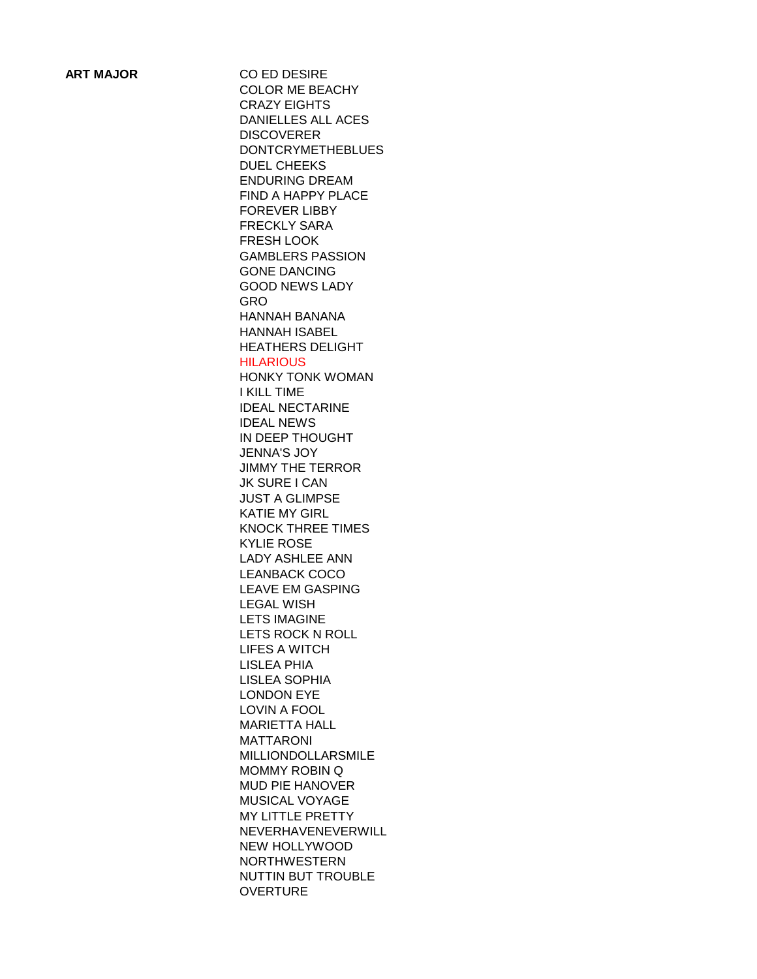**ART MAJOR CO ED DESIRE** COLOR ME BEACHY CRAZY EIGHTS DANIELLES ALL ACES **DISCOVERER** DONTCRYMETHEBLUES DUEL CHEEKS ENDURING DREAM FIND A HAPPY PLACE FOREVER LIBBY FRECKLY SARA FRESH LOOK GAMBLERS PASSION GONE DANCING GOOD NEWS LADY GRO HANNAH BANANA HANNAH ISABEL HEATHERS DELIGHT **HILARIOUS** HONKY TONK WOMAN I KILL TIME IDEAL NECTARINE IDEAL NEWS IN DEEP THOUGHT JENNA'S JOY JIMMY THE TERROR JK SURE I CAN JUST A GLIMPSE KATIE MY GIRL KNOCK THREE TIMES KYLIE ROSE LADY ASHLEE ANN LEANBACK COCO LEAVE EM GASPING LEGAL WISH LETS IMAGINE LETS ROCK N ROLL LIFES A WITCH LISLEA PHIA LISLEA SOPHIA LONDON EYE LOVIN A FOOL MARIETTA HALL MATTARONI MILLIONDOLLARSMILE MOMMY ROBIN Q MUD PIE HANOVER MUSICAL VOYAGE MY LITTLE PRETTY NEVERHAVENEVERWILL NEW HOLLYWOOD NORTHWESTERN NUTTIN BUT TROUBLE OVERTURE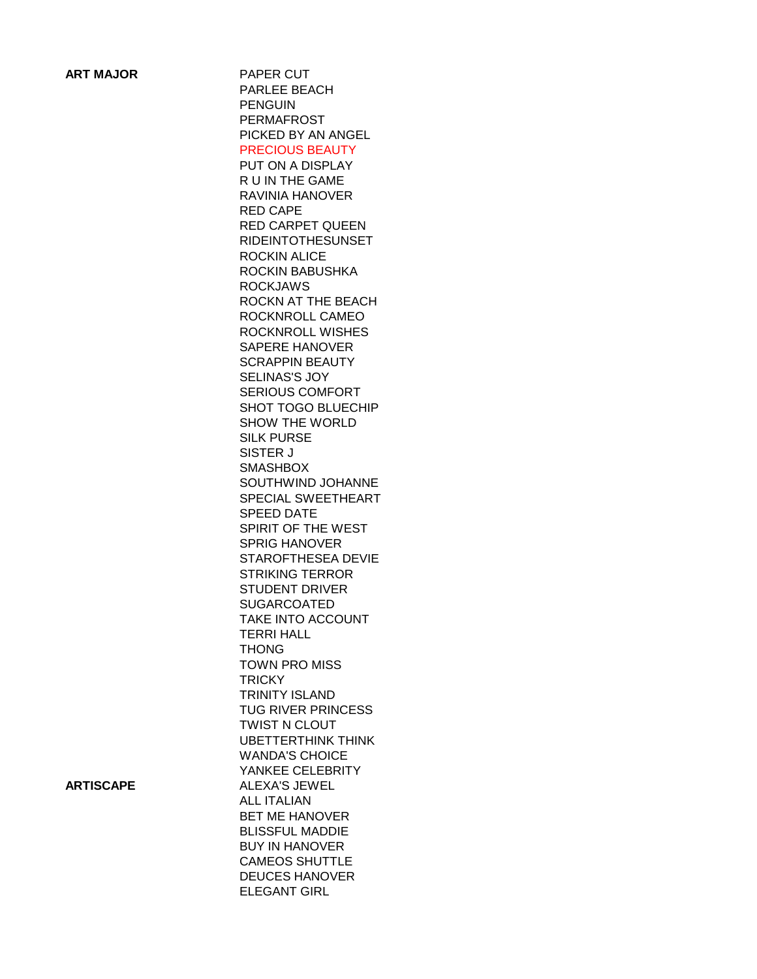**ART MAJOR PAPER CUT** PARLEE BEACH PENGUIN PERMAFROST PICKED BY AN ANGEL PRECIOUS BEAUTY PUT ON A DISPLAY R U IN THE GAME RAVINIA HANOVER RED CAPE RED CARPET QUEEN RIDEINTOTHESUNSET ROCKIN ALICE ROCKIN BABUSHKA ROCKJAWS ROCKN AT THE BEACH ROCKNROLL CAMEO ROCKNROLL WISHES SAPERE HANOVER SCRAPPIN BEAUTY SELINAS'S JOY SERIOUS COMFORT SHOT TOGO BLUECHIP SHOW THE WORLD SILK PURSE SISTER J **SMASHBOX** SOUTHWIND JOHANNE SPECIAL SWEETHEART SPEED DATE SPIRIT OF THE WEST SPRIG HANOVER STAROFTHESEA DEVIE STRIKING TERROR STUDENT DRIVER SUGARCOATED TAKE INTO ACCOUNT TERRI HALL THONG TOWN PRO MISS **TRICKY** TRINITY ISLAND TUG RIVER PRINCESS TWIST N CLOUT UBETTERTHINK THINK WANDA'S CHOICE YANKEE CELEBRITY **ARTISCAPE** ALEXA'S JEWEL ALL ITALIAN BET ME HANOVER BLISSFUL MADDIE BUY IN HANOVER CAMEOS SHUTTLE DEUCES HANOVER ELEGANT GIRL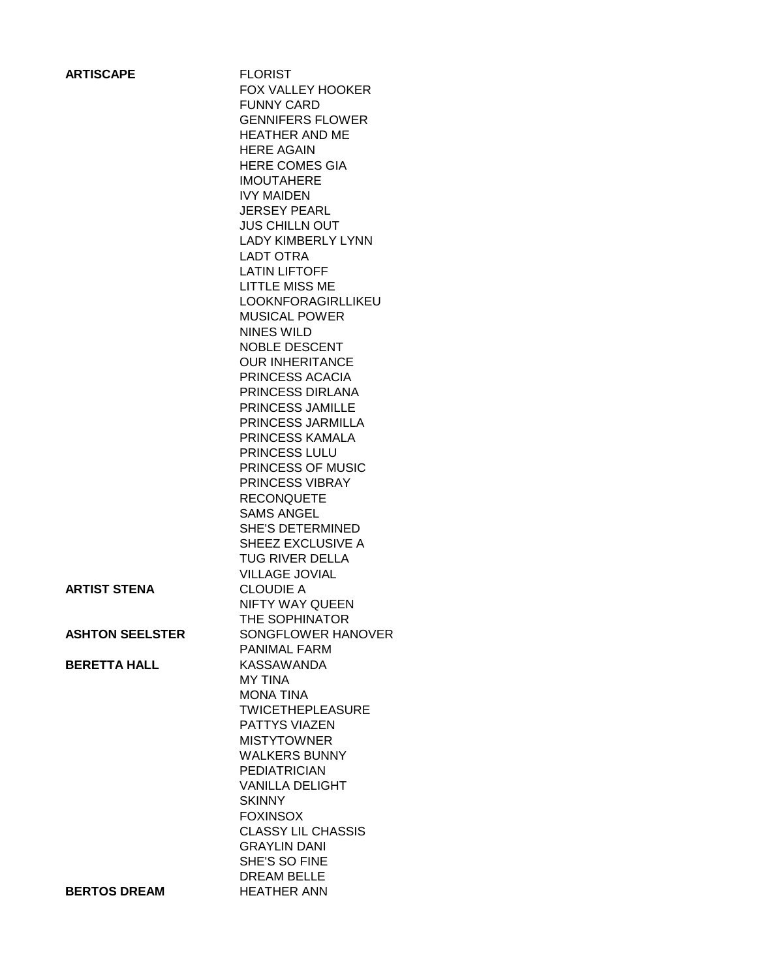| <b>ARTISCAPE</b>       | <b>FLORIST</b>                                |
|------------------------|-----------------------------------------------|
|                        | <b>FOX VALLEY HOOKER</b>                      |
|                        | <b>FUNNY CARD</b>                             |
|                        | <b>GENNIFERS FLOWER</b>                       |
|                        | <b>HEATHER AND ME</b>                         |
|                        | <b>HERE AGAIN</b>                             |
|                        | <b>HERE COMES GIA</b><br><b>IMOUTAHERE</b>    |
|                        | <b>IVY MAIDEN</b>                             |
|                        | <b>JERSEY PEARL</b>                           |
|                        | <b>JUS CHILLN OUT</b>                         |
|                        | <b>LADY KIMBERLY LYNN</b>                     |
|                        | LADT OTRA                                     |
|                        | <b>LATIN LIFTOFF</b>                          |
|                        | LITTLE MISS ME                                |
|                        | <b>LOOKNFORAGIRLLIKEU</b>                     |
|                        | <b>MUSICAL POWER</b>                          |
|                        | NINES WILD                                    |
|                        | <b>NOBLE DESCENT</b>                          |
|                        | <b>OUR INHERITANCE</b>                        |
|                        | PRINCESS ACACIA<br>PRINCESS DIRLANA           |
|                        | PRINCESS JAMILLE                              |
|                        | PRINCESS JARMILLA                             |
|                        | <b>PRINCESS KAMALA</b>                        |
|                        | <b>PRINCESS LULU</b>                          |
|                        | PRINCESS OF MUSIC                             |
|                        | PRINCESS VIBRAY                               |
|                        | <b>RECONQUETE</b>                             |
|                        | <b>SAMS ANGEL</b>                             |
|                        | <b>SHE'S DETERMINED</b>                       |
|                        | SHEEZ EXCLUSIVE A                             |
|                        | <b>TUG RIVER DELLA</b>                        |
|                        | <b>VILLAGE JOVIAL</b>                         |
| <b>ARTIST STENA</b>    | CLOUDIE A<br>NIFTY WAY QUEEN                  |
|                        | THE SOPHINATOR                                |
| <b>ASHTON SEELSTER</b> | SONGFLOWER HANOVER                            |
|                        | <b>PANIMAL FARM</b>                           |
| <b>BERETTA HALL</b>    | <b>KASSAWANDA</b>                             |
|                        | <b>MY TINA</b>                                |
|                        | <b>MONA TINA</b>                              |
|                        | <b>TWICETHEPLEASURE</b>                       |
|                        | <b>PATTYS VIAZEN</b>                          |
|                        | <b>MISTYTOWNER</b>                            |
|                        | <b>WALKERS BUNNY</b>                          |
|                        | <b>PEDIATRICIAN</b><br><b>VANILLA DELIGHT</b> |
|                        | <b>SKINNY</b>                                 |
|                        | <b>FOXINSOX</b>                               |
|                        | <b>CLASSY LIL CHASSIS</b>                     |
|                        | <b>GRAYLIN DANI</b>                           |
|                        | SHE'S SO FINE                                 |
|                        | <b>DREAM BELLE</b>                            |
| <b>BERTOS DREAM</b>    | <b>HEATHER ANN</b>                            |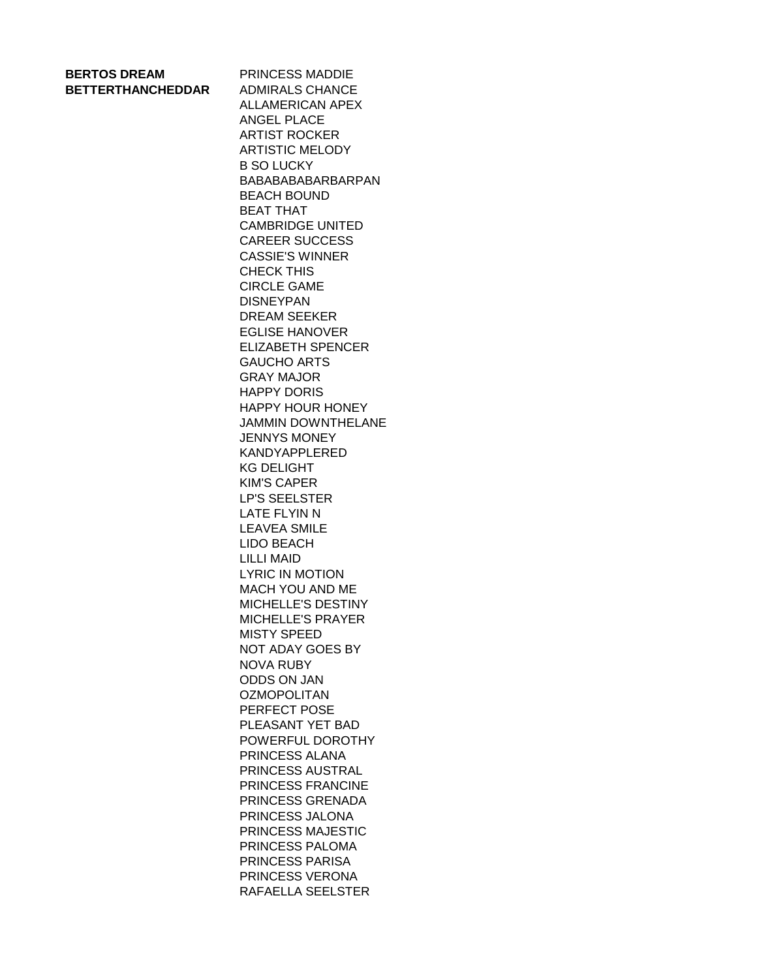| <b>BERTOS DREAM</b>      |  |
|--------------------------|--|
| <b>BETTERTHANCHEDDAR</b> |  |

**PRINCESS MADDIE ADMIRALS CHANCE** ALLAMERICAN APEX ANGEL PLACE ARTIST ROCKER ARTISTIC MELODY B SO LUCKY BABABABABARBARPAN BEACH BOUND BEAT THAT CAMBRIDGE UNITED CAREER SUCCESS CASSIE'S WINNER CHECK THIS CIRCLE GAME DISNEYPAN DREAM SEEKER EGLISE HANOVER ELIZABETH SPENCER GAUCHO ARTS GRAY MAJOR HAPPY DORIS HAPPY HOUR HONEY JAMMIN DOWNTHELANE JENNYS MONEY KANDYAPPLERED KG DELIGHT KIM'S CAPER LP'S SEELSTER LATE FLYIN N LEAVEA SMILE LIDO BEACH LILLI MAID LYRIC IN MOTION MACH YOU AND ME MICHELLE'S DESTINY MICHELLE'S PRAYER MISTY SPEED NOT ADAY GOES BY NOVA RUBY ODDS ON JAN **OZMOPOLITAN** PERFECT POSE PLEASANT YET BAD POWERFUL DOROTHY PRINCESS ALANA PRINCESS AUSTRAL PRINCESS FRANCINE PRINCESS GRENADA PRINCESS JALONA PRINCESS MAJESTIC PRINCESS PALOMA PRINCESS PARISA PRINCESS VERONA RAFAELLA SEELSTER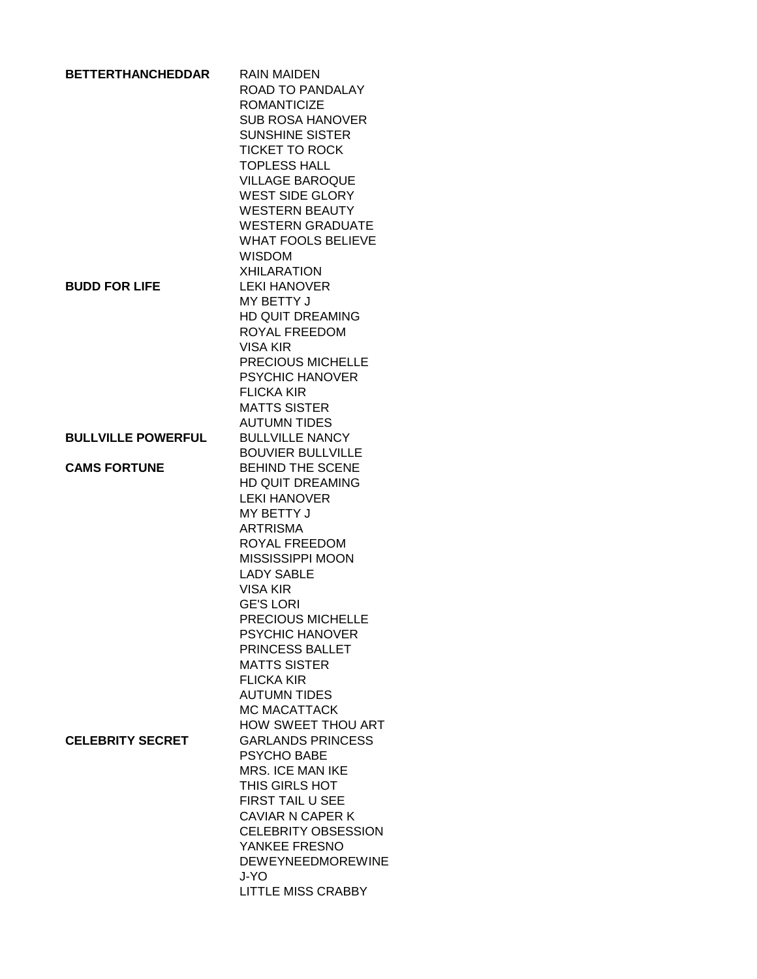| <b>BETTERTHANCHEDDAR</b>  | <b>RAIN MAIDEN</b><br>ROAD TO PANDALAY |
|---------------------------|----------------------------------------|
|                           | <b>ROMANTICIZE</b>                     |
|                           | <b>SUB ROSA HANOVER</b>                |
|                           | <b>SUNSHINE SISTER</b>                 |
|                           | <b>TICKET TO ROCK</b>                  |
|                           | <b>TOPLESS HALL</b>                    |
|                           | <b>VILLAGE BAROQUE</b>                 |
|                           | <b>WEST SIDE GLORY</b>                 |
|                           | <b>WESTERN BEAUTY</b>                  |
|                           | <b>WESTERN GRADUATE</b>                |
|                           | <b>WHAT FOOLS BELIEVE</b>              |
|                           | <b>WISDOM</b>                          |
|                           | <b>XHILARATION</b>                     |
| <b>BUDD FOR LIFE</b>      | <b>LEKI HANOVER</b>                    |
|                           | MY BETTY J                             |
|                           | <b>HD QUIT DREAMING</b>                |
|                           | ROYAL FREEDOM                          |
|                           | VISA KIR                               |
|                           | PRECIOUS MICHELLE                      |
|                           | <b>PSYCHIC HANOVER</b>                 |
|                           | <b>FLICKA KIR</b>                      |
|                           | <b>MATTS SISTER</b>                    |
|                           | <b>AUTUMN TIDES</b>                    |
| <b>BULLVILLE POWERFUL</b> | <b>BULLVILLE NANCY</b>                 |
|                           | <b>BOUVIER BULLVILLE</b>               |
| <b>CAMS FORTUNE</b>       | <b>BEHIND THE SCENE</b>                |
|                           | <b>HD QUIT DREAMING</b>                |
|                           | <b>LEKI HANOVER</b>                    |
|                           | MY BETTY J                             |
|                           | <b>ARTRISMA</b>                        |
|                           | ROYAL FREEDOM                          |
|                           | MISSISSIPPI MOON                       |
|                           | <b>LADY SABLE</b>                      |
|                           | VISA KIR                               |
|                           | <b>GE'S LORI</b>                       |
|                           | PRECIOUS MICHELLE                      |
|                           | <b>PSYCHIC HANOVER</b>                 |
|                           | PRINCESS BALLET                        |
|                           | <b>MATTS SISTER</b>                    |
|                           | <b>FLICKA KIR</b>                      |
|                           | <b>AUTUMN TIDES</b>                    |
|                           | <b>MC MACATTACK</b>                    |
|                           | HOW SWEET THOU ART                     |
| <b>CELEBRITY SECRET</b>   | <b>GARLANDS PRINCESS</b>               |
|                           | <b>PSYCHO BABE</b>                     |
|                           | <b>MRS. ICE MAN IKE</b>                |
|                           | THIS GIRLS HOT                         |
|                           | FIRST TAIL U SEE                       |
|                           | <b>CAVIAR N CAPER K</b>                |
|                           | <b>CELEBRITY OBSESSION</b>             |
|                           | YANKEE FRESNO                          |
|                           | <b>DEWEYNEEDMOREWINE</b>               |
|                           | J-YO                                   |
|                           | <b>LITTLE MISS CRABBY</b>              |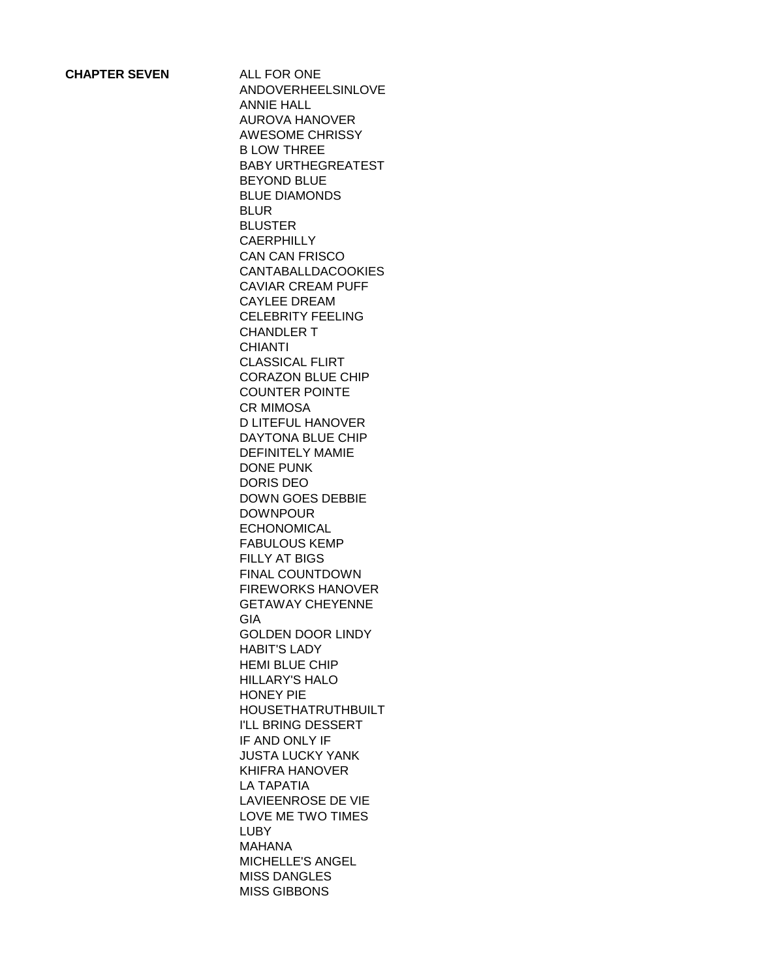ANDOVERHEELSINLOVE ANNIE HALL AUROVA HANOVER AWESOME CHRISSY B LOW THREE BABY URTHEGREATEST BEYOND BLUE BLUE DIAMONDS BLUR BLUSTER **CAERPHILLY** CAN CAN FRISCO CANTABALLDACOOKIES CAVIAR CREAM PUFF CAYLEE DREAM CELEBRITY FEELING CHANDLER T **CHIANTI** CLASSICAL FLIRT CORAZON BLUE CHIP COUNTER POINTE CR MIMOSA D LITEFUL HANOVER DAYTONA BLUE CHIP DEFINITELY MAMIE DONE PUNK DORIS DEO DOWN GOES DEBBIE DOWNPOUR ECHONOMICAL FABULOUS KEMP FILLY AT BIGS FINAL COUNTDOWN FIREWORKS HANOVER GETAWAY CHEYENNE GIA GOLDEN DOOR LINDY HABIT'S LADY HEMI BLUE CHIP HILLARY'S HALO HONEY PIE HOUSETHATRUTHBUILT I'LL BRING DESSERT IF AND ONLY IF JUSTA LUCKY YANK KHIFRA HANOVER LA TAPATIA LAVIEENROSE DE VIE LOVE ME TWO TIMES LUBY MAHANA MICHELLE'S ANGEL MISS DANGLES MISS GIBBONS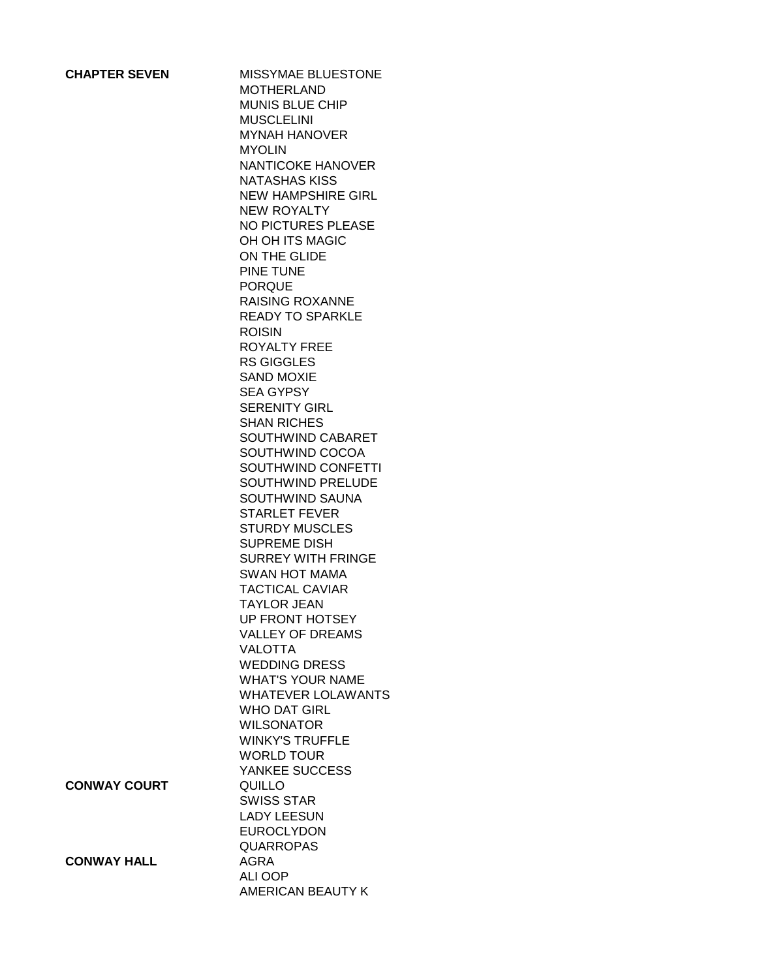**MISSYMAE BLUESTONE** MOTHERLAND MUNIS BLUE CHIP MUSCLELINI MYNAH HANOVER MYOLIN NANTICOKE HANOVER NATASHAS KISS NEW HAMPSHIRE GIRL NEW ROYALTY NO PICTURES PLEASE OH OH ITS MAGIC ON THE GLIDE PINE TUNE PORQUE RAISING ROXANNE READY TO SPARKLE ROISIN ROYALTY FREE RS GIGGLES SAND MOXIE SEA GYPSY SERENITY GIRL SHAN RICHES SOUTHWIND CABARET SOUTHWIND COCOA SOUTHWIND CONFETTI SOUTHWIND PRELUDE SOUTHWIND SAUNA STARLET FEVER STURDY MUSCLES SUPREME DISH SURREY WITH FRINGE SWAN HOT MAMA TACTICAL CAVIAR TAYLOR JEAN UP FRONT HOTSEY VALLEY OF DREAMS VALOTTA WEDDING DRESS WHAT'S YOUR NAME WHATEVER LOLAWANTS WHO DAT GIRL WILSONATOR WINKY'S TRUFFLE WORLD TOUR YANKEE SUCCESS **CONWAY COURT AND QUILLO** SWISS STAR LADY LEESUN EUROCLYDON QUARROPAS **CONWAY HALL AGRA** ALI OOP AMERICAN BEAUTY K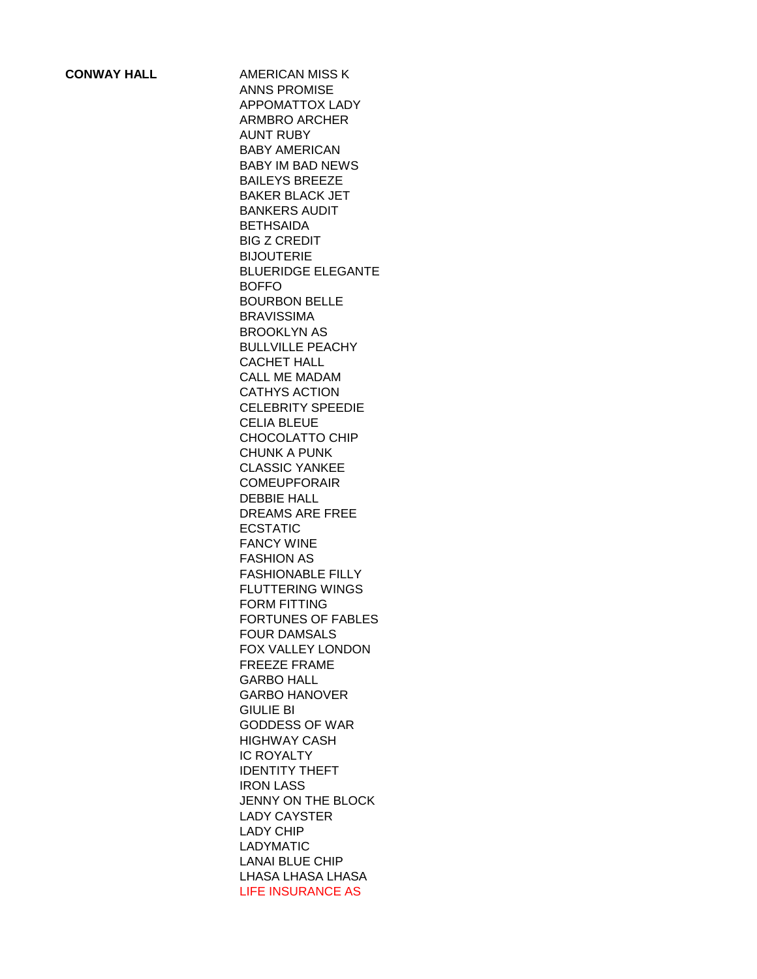**CONWAY HALL AMERICAN MISS K** ANNS PROMISE APPOMATTOX LADY ARMBRO ARCHER AUNT RUBY BABY AMERICAN BABY IM BAD NEWS BAILEYS BREEZE BAKER BLACK JET BANKERS AUDIT **BETHSAIDA** BIG Z CREDIT BIJOUTERIE BLUERIDGE ELEGANTE BOFFO BOURBON BELLE BRAVISSIMA BROOKLYN AS BULLVILLE PEACHY CACHET HALL CALL ME MADAM CATHYS ACTION CELEBRITY SPEEDIE CELIA BLEUE CHOCOLATTO CHIP CHUNK A PUNK CLASSIC YANKEE COMEUPFORAIR DEBBIE HALL DREAMS ARE FREE ECSTATIC FANCY WINE FASHION AS FASHIONABLE FILLY FLUTTERING WINGS FORM FITTING FORTUNES OF FABLES FOUR DAMSALS FOX VALLEY LONDON FREEZE FRAME GARBO HALL GARBO HANOVER GIULIE BI GODDESS OF WAR HIGHWAY CASH IC ROYALTY IDENTITY THEFT IRON LASS JENNY ON THE BLOCK LADY CAYSTER LADY CHIP LADYMATIC LANAI BLUE CHIP LHASA LHASA LHASA LIFE INSURANCE AS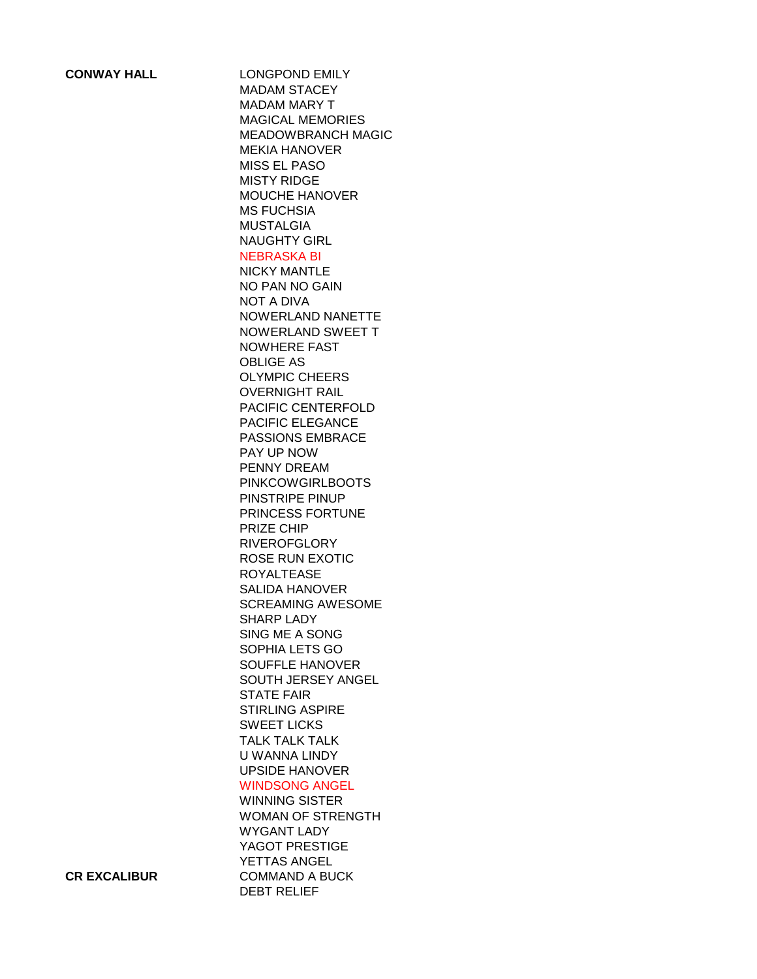**CONWAY HALL** LONGPOND EMILY MADAM STACEY MADAM MARY T MAGICAL MEMORIES MEADOWBRANCH MAGIC MEKIA HANOVER MISS EL PASO MISTY RIDGE MOUCHE HANOVER MS FUCHSIA MUSTALGIA NAUGHTY GIRL NEBRASKA BI NICKY MANTLE NO PAN NO GAIN NOT A DIVA NOWERLAND NANETTE NOWERLAND SWEET T NOWHERE FAST OBLIGE AS OLYMPIC CHEERS OVERNIGHT RAIL PACIFIC CENTERFOLD PACIFIC ELEGANCE PASSIONS EMBRACE PAY UP NOW PENNY DREAM PINKCOWGIRLBOOTS PINSTRIPE PINUP PRINCESS FORTUNE PRIZE CHIP **RIVEROFGLORY** ROSE RUN EXOTIC ROYALTEASE SALIDA HANOVER SCREAMING AWESOME SHARP LADY SING ME A SONG SOPHIA LETS GO SOUFFLE HANOVER SOUTH JERSEY ANGEL STATE FAIR STIRLING ASPIRE SWEET LICKS TALK TALK TALK U WANNA LINDY UPSIDE HANOVER WINDSONG ANGEL

WINNING SISTER WOMAN OF STRENGTH WYGANT LADY YAGOT PRESTIGE YETTAS ANGEL **CR EXCALIBUR** COMMAND A BUCK DEBT RELIEF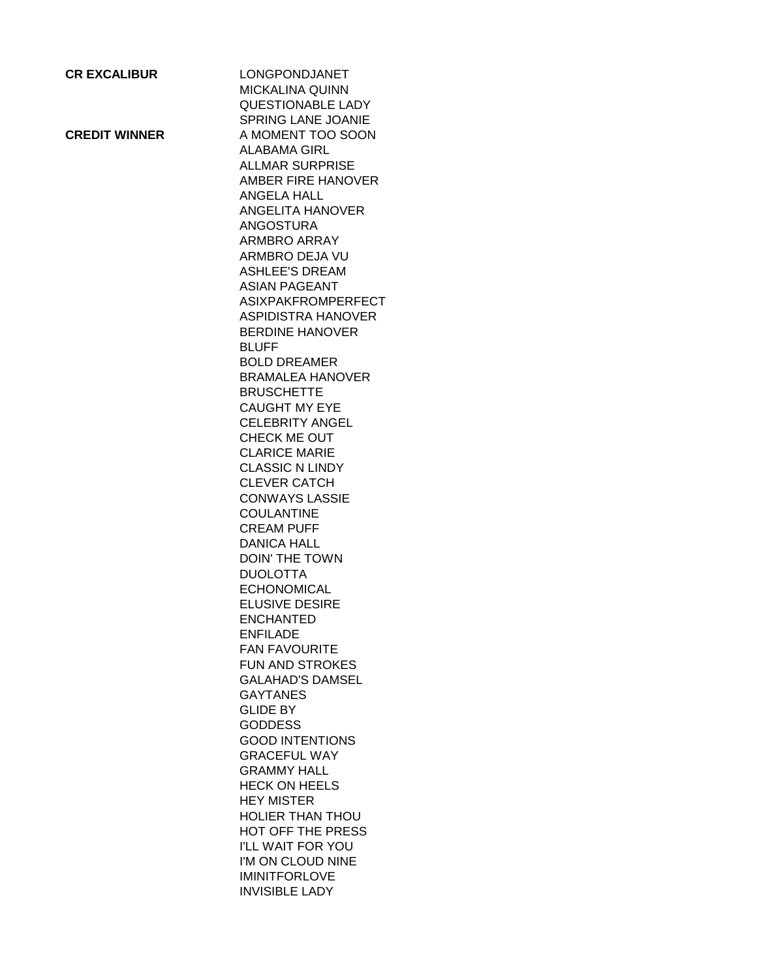| <b>CR EXCALIBUR</b>  | LONGPONDJANET<br><b>MICKALINA QUINN</b><br><b>QUESTIONABLE LADY</b> |
|----------------------|---------------------------------------------------------------------|
|                      | SPRING LANE JOANIE                                                  |
| <b>CREDIT WINNER</b> | A MOMENT TOO SOON                                                   |
|                      | <b>ALABAMA GIRL</b>                                                 |
|                      | <b>ALLMAR SURPRISE</b>                                              |
|                      | AMBER FIRE HANOVER                                                  |
|                      | ANGELA HALL                                                         |
|                      | <b>ANGELITA HANOVER</b>                                             |
|                      | <b>ANGOSTURA</b>                                                    |
|                      | ARMBRO ARRAY                                                        |
|                      | ARMBRO DEJA VU                                                      |
|                      | <b>ASHLEE'S DREAM</b>                                               |
|                      | <b>ASIAN PAGEANT</b>                                                |
|                      | <b>ASIXPAKFROMPERFECT</b>                                           |
|                      | <b>ASPIDISTRA HANOVER</b>                                           |
|                      | <b>BERDINE HANOVER</b>                                              |
|                      | <b>BLUFF</b>                                                        |
|                      | <b>BOLD DREAMER</b>                                                 |
|                      | <b>BRAMALEA HANOVER</b>                                             |
|                      | <b>BRUSCHETTE</b>                                                   |
|                      | <b>CAUGHT MY EYE</b>                                                |
|                      | <b>CELEBRITY ANGEL</b>                                              |
|                      | CHECK ME OUT                                                        |
|                      | <b>CLARICE MARIE</b>                                                |
|                      | <b>CLASSIC N LINDY</b>                                              |
|                      | <b>CLEVER CATCH</b>                                                 |
|                      | <b>CONWAYS LASSIE</b>                                               |
|                      | <b>COULANTINE</b>                                                   |
|                      | <b>CREAM PUFF</b>                                                   |
|                      | <b>DANICA HALL</b>                                                  |
|                      | <b>DOIN' THE TOWN</b>                                               |
|                      | <b>DUOLOTTA</b>                                                     |
|                      | <b>ECHONOMICAL</b>                                                  |
|                      | <b>ELUSIVE DESIRE</b>                                               |
|                      | <b>ENCHANTED</b>                                                    |
|                      | ENFILADE                                                            |
|                      | <b>FAN FAVOURITE</b>                                                |
|                      | <b>FUN AND STROKES</b>                                              |
|                      | <b>GALAHAD'S DAMSEL</b>                                             |
|                      | <b>GAYTANES</b>                                                     |
|                      | <b>GLIDE BY</b>                                                     |
|                      | <b>GODDESS</b>                                                      |
|                      | <b>GOOD INTENTIONS</b>                                              |
|                      | <b>GRACEFUL WAY</b>                                                 |
|                      | <b>GRAMMY HALL</b>                                                  |
|                      | <b>HECK ON HEELS</b>                                                |
|                      | <b>HEY MISTER</b>                                                   |
|                      | <b>HOLIER THAN THOU</b>                                             |
|                      | <b>HOT OFF THE PRESS</b>                                            |
|                      | I'LL WAIT FOR YOU                                                   |
|                      | I'M ON CLOUD NINE                                                   |
|                      | <b>IMINITFORLOVE</b>                                                |
|                      | <b>INVISIBLE LADY</b>                                               |
|                      |                                                                     |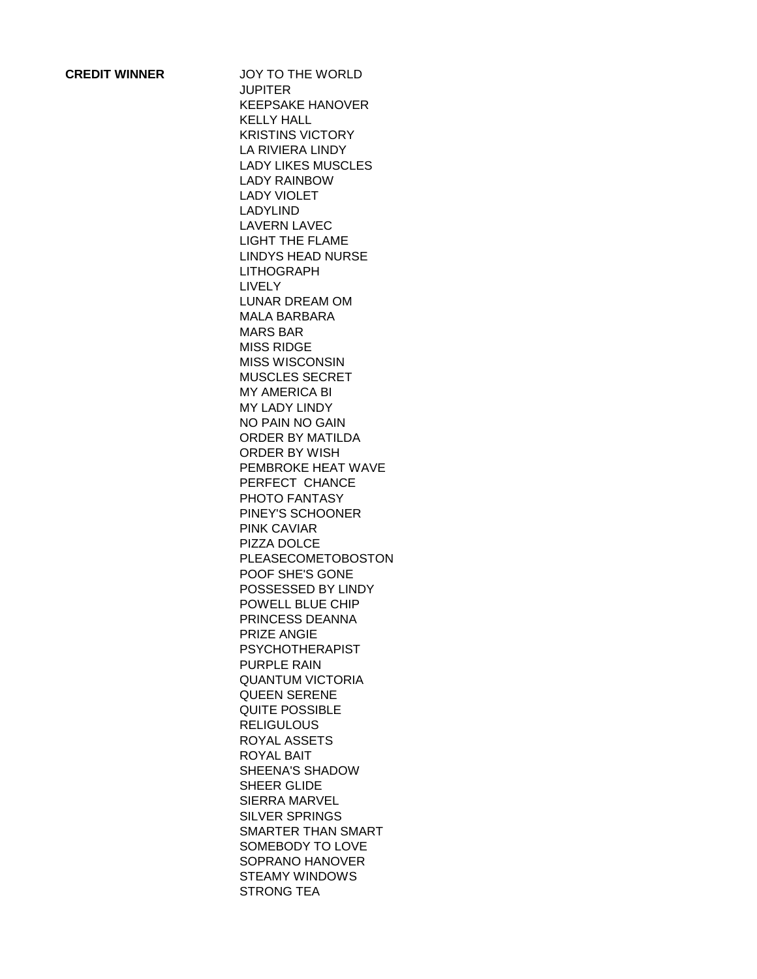**CREDIT WINNER** JOY TO THE WORLD **JUPITER** KEEPSAKE HANOVER KELLY HALL KRISTINS VICTORY LA RIVIERA LINDY LADY LIKES MUSCLES LADY RAINBOW LADY VIOLET LADYLIND LAVERN LAVEC LIGHT THE FLAME LINDYS HEAD NURSE LITHOGRAPH LIVELY LUNAR DREAM OM MALA BARBARA MARS BAR MISS RIDGE MISS WISCONSIN MUSCLES SECRET MY AMERICA BI MY LADY LINDY NO PAIN NO GAIN ORDER BY MATILDA ORDER BY WISH PEMBROKE HEAT WAVE PERFECT CHANCE PHOTO FANTASY PINEY'S SCHOONER PINK CAVIAR PIZZA DOLCE PLEASECOMETOBOSTON POOF SHE'S GONE POSSESSED BY LINDY POWELL BLUE CHIP PRINCESS DEANNA PRIZE ANGIE PSYCHOTHERAPIST PURPLE RAIN QUANTUM VICTORIA QUEEN SERENE QUITE POSSIBLE **RELIGULOUS** ROYAL ASSETS ROYAL BAIT SHEENA'S SHADOW SHEER GLIDE SIERRA MARVEL SILVER SPRINGS SMARTER THAN SMART SOMEBODY TO LOVE SOPRANO HANOVER STEAMY WINDOWS STRONG TEA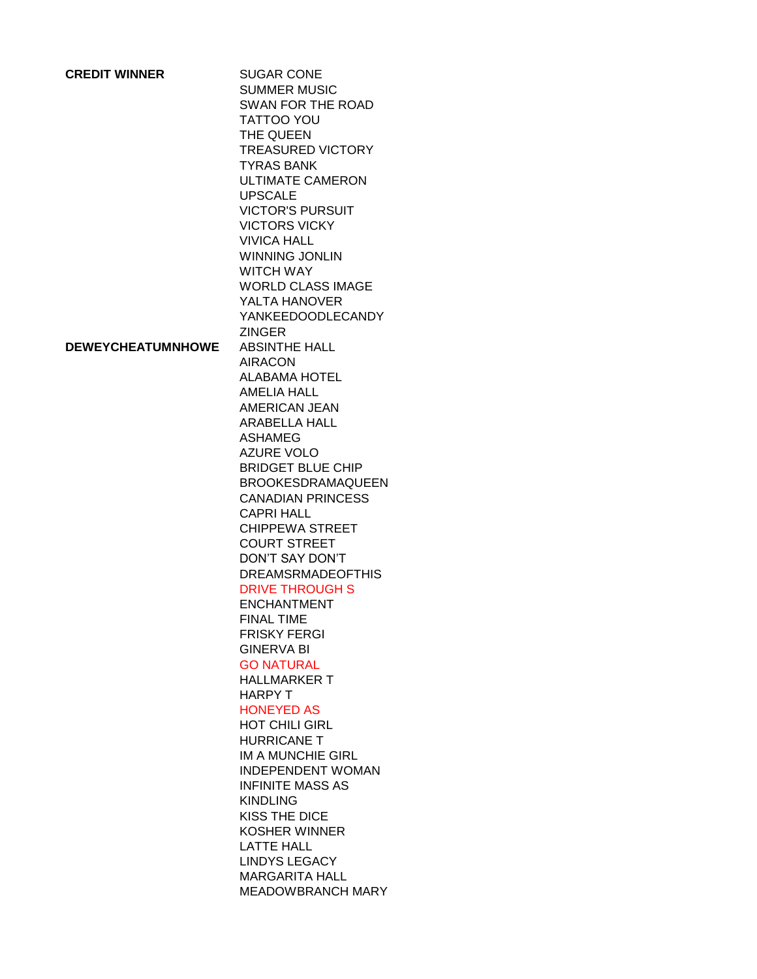| <b>CREDIT WINNER</b>     | <b>SUGAR CONE</b><br><b>SUMMER MUSIC</b><br>SWAN FOR THE ROAD<br>TATTOO YOU<br>THE QUEEN<br><b>TREASURED VICTORY</b><br><b>TYRAS BANK</b><br><b>ULTIMATE CAMERON</b><br><b>UPSCALE</b><br><b>VICTOR'S PURSUIT</b><br><b>VICTORS VICKY</b><br><b>VIVICA HALL</b><br><b>WINNING JONLIN</b><br><b>WITCH WAY</b><br><b>WORLD CLASS IMAGE</b><br>YALTA HANOVER<br><b>YANKEEDOODLECANDY</b><br><b>ZINGER</b>                                                                                                                                                                                                                                                                                                                                                                                                                                                |
|--------------------------|-------------------------------------------------------------------------------------------------------------------------------------------------------------------------------------------------------------------------------------------------------------------------------------------------------------------------------------------------------------------------------------------------------------------------------------------------------------------------------------------------------------------------------------------------------------------------------------------------------------------------------------------------------------------------------------------------------------------------------------------------------------------------------------------------------------------------------------------------------|
| <b>DEWEYCHEATUMNHOWE</b> | <b>ABSINTHE HALL</b><br><b>AIRACON</b><br><b>ALABAMA HOTEL</b><br><b>AMELIA HALL</b><br><b>AMERICAN JEAN</b><br>ARABELLA HALL<br><b>ASHAMEG</b><br><b>AZURE VOLO</b><br><b>BRIDGET BLUE CHIP</b><br><b>BROOKESDRAMAQUEEN</b><br><b>CANADIAN PRINCESS</b><br><b>CAPRI HALL</b><br><b>CHIPPEWA STREET</b><br><b>COURT STREET</b><br>DON'T SAY DON'T<br><b>DREAMSRMADEOFTHIS</b><br><b>DRIVE THROUGH S</b><br><b>ENCHANTMENT</b><br><b>FINAL TIME</b><br><b>FRISKY FERGI</b><br><b>GINERVA BI</b><br><b>GO NATURAL</b><br><b>HALLMARKER T</b><br>HARPY T<br><b>HONEYED AS</b><br><b>HOT CHILI GIRL</b><br><b>HURRICANE T</b><br>IM A MUNCHIE GIRL<br><b>INDEPENDENT WOMAN</b><br><b>INFINITE MASS AS</b><br><b>KINDLING</b><br>KISS THE DICE<br>KOSHER WINNER<br><b>LATTE HALL</b><br><b>LINDYS LEGACY</b><br><b>MARGARITA HALL</b><br>MEADOWBRANCH MARY |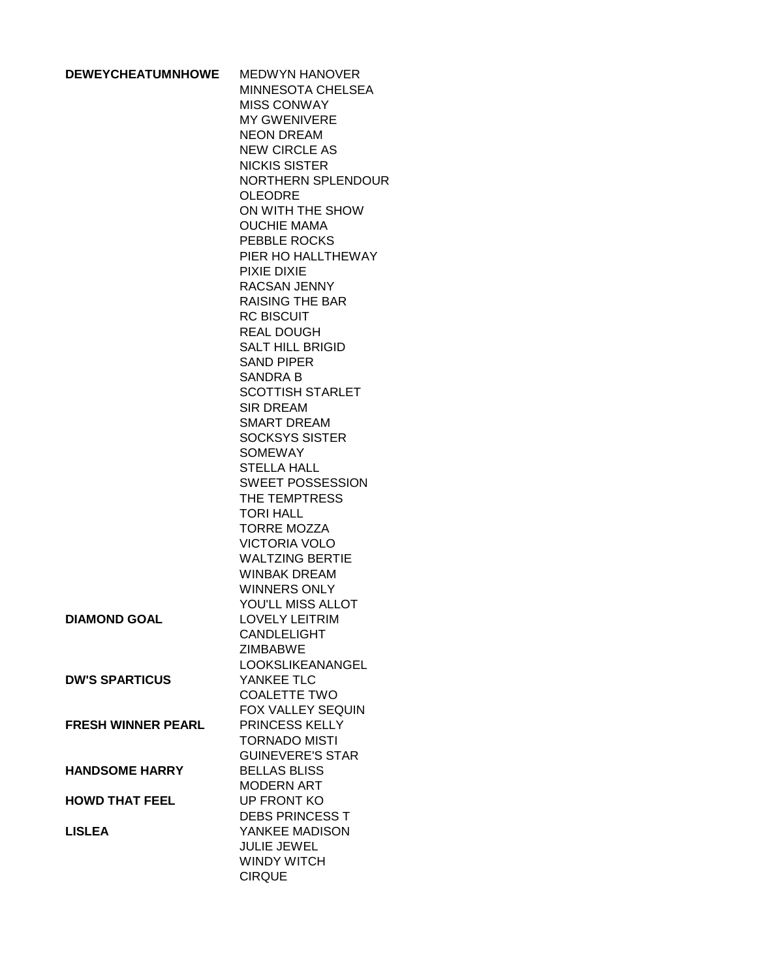| <b>DEWEYCHEATUMNHOWE</b>  | <b>MEDWYN HANOVER</b>    |
|---------------------------|--------------------------|
|                           | <b>MINNESOTA CHELSEA</b> |
|                           | <b>MISS CONWAY</b>       |
|                           | <b>MY GWENIVERE</b>      |
|                           | <b>NEON DREAM</b>        |
|                           | <b>NEW CIRCLE AS</b>     |
|                           | <b>NICKIS SISTER</b>     |
|                           | NORTHERN SPLENDOUR       |
|                           | <b>OLEODRE</b>           |
|                           | ON WITH THE SHOW         |
|                           | <b>OUCHIE MAMA</b>       |
|                           |                          |
|                           | PEBBLE ROCKS             |
|                           | PIER HO HALLTHEWAY       |
|                           | PIXIE DIXIE              |
|                           | RACSAN JENNY             |
|                           | <b>RAISING THE BAR</b>   |
|                           | <b>RC BISCUIT</b>        |
|                           | <b>REAL DOUGH</b>        |
|                           | <b>SALT HILL BRIGID</b>  |
|                           | <b>SAND PIPER</b>        |
|                           | <b>SANDRA B</b>          |
|                           | <b>SCOTTISH STARLET</b>  |
|                           | <b>SIR DREAM</b>         |
|                           | <b>SMART DREAM</b>       |
|                           | <b>SOCKSYS SISTER</b>    |
|                           | <b>SOMEWAY</b>           |
|                           | <b>STELLA HALL</b>       |
|                           | <b>SWEET POSSESSION</b>  |
|                           | THE TEMPTRESS            |
|                           | <b>TORI HALL</b>         |
|                           | <b>TORRE MOZZA</b>       |
|                           | <b>VICTORIA VOLO</b>     |
|                           | <b>WALTZING BERTIE</b>   |
|                           | <b>WINBAK DREAM</b>      |
|                           | <b>WINNERS ONLY</b>      |
|                           | YOU'LL MISS ALLOT        |
| DIAMOND GOAL              | <b>LOVELY LEITRIM</b>    |
|                           | <b>CANDLELIGHT</b>       |
|                           | <b>ZIMBABWE</b>          |
|                           | <b>LOOKSLIKEANANGEL</b>  |
| <b>DW'S SPARTICUS</b>     | YANKEE TLC               |
|                           | <b>COALETTE TWO</b>      |
|                           | FOX VALLEY SEQUIN        |
|                           |                          |
| <b>FRESH WINNER PEARL</b> | PRINCESS KELLY           |
|                           | <b>TORNADO MISTI</b>     |
|                           | <b>GUINEVERE'S STAR</b>  |
| <b>HANDSOME HARRY</b>     | <b>BELLAS BLISS</b>      |
|                           | <b>MODERN ART</b>        |
| <b>HOWD THAT FEEL</b>     | UP FRONT KO              |
|                           | <b>DEBS PRINCESS T</b>   |
| <b>LISLEA</b>             | YANKEE MADISON           |
|                           | <b>JULIE JEWEL</b>       |
|                           | <b>WINDY WITCH</b>       |
|                           | <b>CIRQUE</b>            |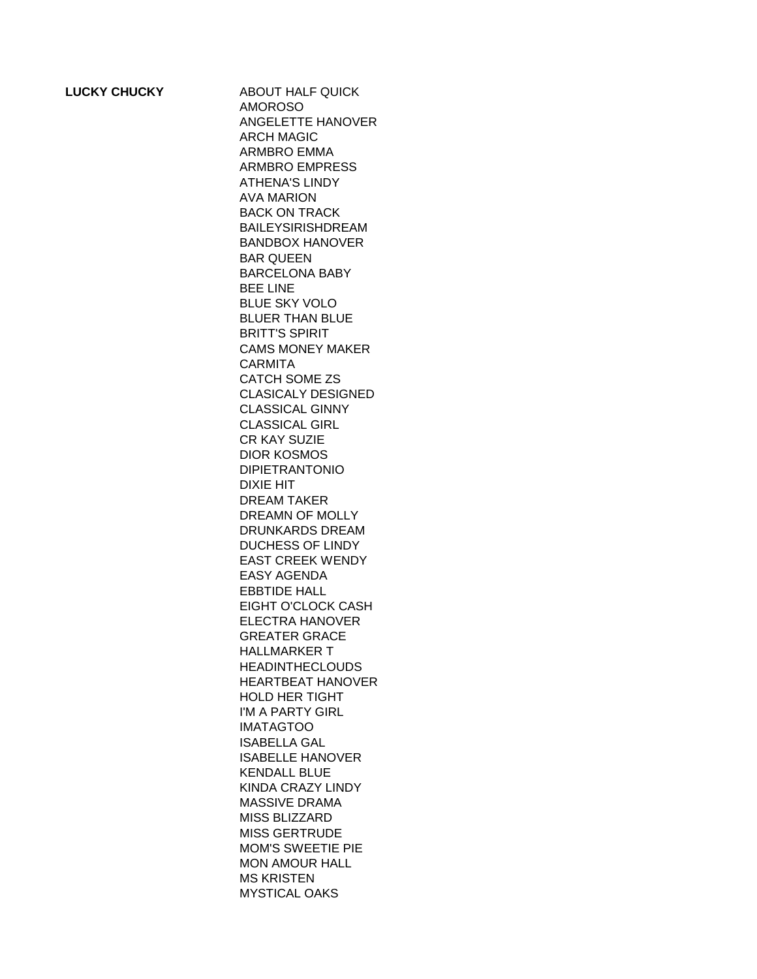**LUCKY CHUCKY** ABOUT HALF QUICK AMOROSO ANGELETTE HANOVER ARCH MAGIC ARMBRO EMMA ARMBRO EMPRESS ATHENA'S LINDY AVA MARION BACK ON TRACK BAILEYSIRISHDREAM BANDBOX HANOVER BAR QUEEN BARCELONA BABY BEE LINE BLUE SKY VOLO BLUER THAN BLUE BRITT'S SPIRIT CAMS MONEY MAKER CARMITA CATCH SOME ZS CLASICALY DESIGNED CLASSICAL GINNY CLASSICAL GIRL CR KAY SUZIE DIOR KOSMOS DIPIETRANTONIO DIXIE HIT DREAM TAKER DREAMN OF MOLLY DRUNKARDS DREAM DUCHESS OF LINDY EAST CREEK WENDY EASY AGENDA EBBTIDE HALL EIGHT O'CLOCK CASH ELECTRA HANOVER GREATER GRACE HALLMARKER T **HEADINTHECLOUDS** HEARTBEAT HANOVER HOLD HER TIGHT I'M A PARTY GIRL IMATAGTOO ISABELLA GAL ISABELLE HANOVER KENDALL BLUE KINDA CRAZY LINDY MASSIVE DRAMA MISS BLIZZARD MISS GERTRUDE MOM'S SWEETIE PIE MON AMOUR HALL MS KRISTEN MYSTICAL OAKS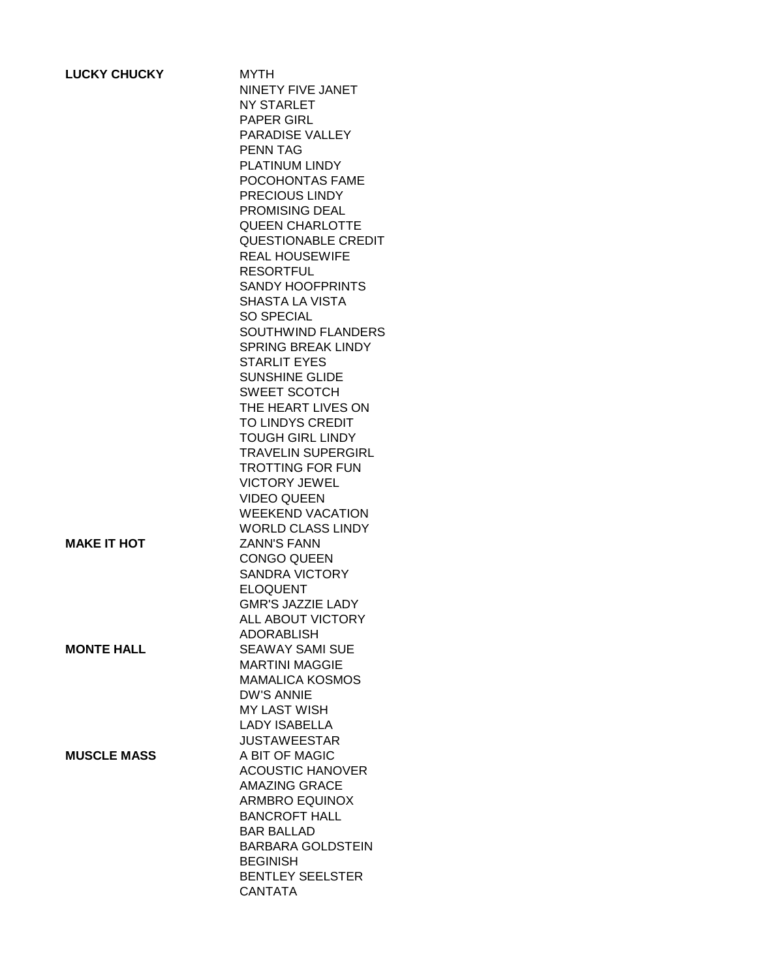| <b>LUCKY CHUCKY</b> | <b>MYTH</b><br>NINETY FIVE JANET<br>NY STARLET<br>PAPER GIRL<br>PARADISE VALLEY<br><b>PENN TAG</b><br>PLATINUM LINDY<br>POCOHONTAS FAME<br>PRECIOUS LINDY<br>PROMISING DEAL<br><b>QUEEN CHARLOTTE</b><br><b>QUESTIONABLE CREDIT</b><br><b>REAL HOUSEWIFE</b><br><b>RESORTFUL</b><br><b>SANDY HOOFPRINTS</b><br><b>SHASTA LA VISTA</b><br>SO SPECIAL<br><b>SOUTHWIND FLANDERS</b><br><b>SPRING BREAK LINDY</b><br><b>STARLIT EYES</b><br><b>SUNSHINE GLIDE</b><br>SWEET SCOTCH<br>THE HEART LIVES ON<br>TO LINDYS CREDIT<br><b>TOUGH GIRL LINDY</b><br><b>TRAVELIN SUPERGIRL</b><br><b>TROTTING FOR FUN</b> |
|---------------------|------------------------------------------------------------------------------------------------------------------------------------------------------------------------------------------------------------------------------------------------------------------------------------------------------------------------------------------------------------------------------------------------------------------------------------------------------------------------------------------------------------------------------------------------------------------------------------------------------------|
| <b>MAKE IT HOT</b>  | <b>VICTORY JEWEL</b><br><b>VIDEO QUEEN</b><br><b>WEEKEND VACATION</b><br><b>WORLD CLASS LINDY</b><br><b>ZANN'S FANN</b>                                                                                                                                                                                                                                                                                                                                                                                                                                                                                    |
|                     | <b>CONGO QUEEN</b><br><b>SANDRA VICTORY</b><br><b>ELOQUENT</b><br><b>GMR'S JAZZIE LADY</b><br>ALL ABOUT VICTORY<br><b>ADORABLISH</b>                                                                                                                                                                                                                                                                                                                                                                                                                                                                       |
| <b>MONTE HALL</b>   | <b>SEAWAY SAMI SUE</b><br><b>MARTINI MAGGIE</b><br><b>MAMALICA KOSMOS</b><br><b>DW'S ANNIE</b><br><b>MY LAST WISH</b><br><b>LADY ISABELLA</b><br><b>JUSTAWEESTAR</b>                                                                                                                                                                                                                                                                                                                                                                                                                                       |
| <b>MUSCLE MASS</b>  | A BIT OF MAGIC<br><b>ACOUSTIC HANOVER</b><br><b>AMAZING GRACE</b><br>ARMBRO EQUINOX<br><b>BANCROFT HALL</b><br><b>BAR BALLAD</b><br><b>BARBARA GOLDSTEIN</b><br><b>BEGINISH</b><br><b>BENTLEY SEELSTER</b><br><b>CANTATA</b>                                                                                                                                                                                                                                                                                                                                                                               |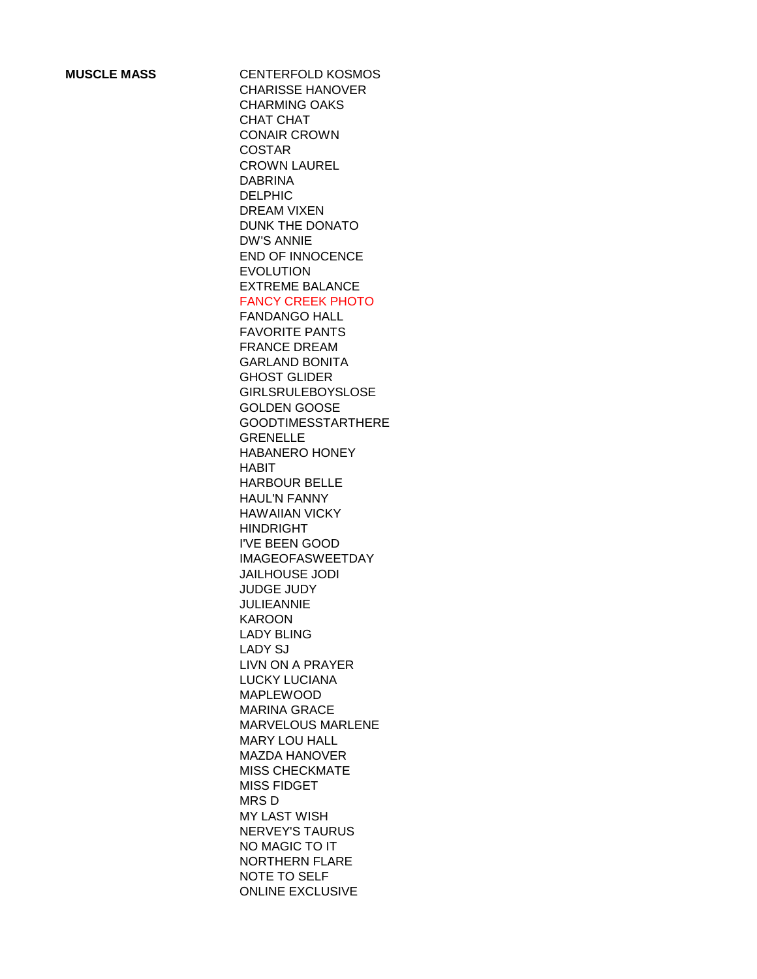**MUSCLE MASS** CENTERFOLD KOSMOS CHARISSE HANOVER CHARMING OAKS CHAT CHAT CONAIR CROWN COSTAR CROWN LAUREL DABRINA DELPHIC DREAM VIXEN DUNK THE DONATO DW'S ANNIE END OF INNOCENCE EVOLUTION EXTREME BALANCE FANCY CREEK PHOTO FANDANGO HALL FAVORITE PANTS FRANCE DREAM GARLAND BONITA GHOST GLIDER GIRLSRULEBOYSLOSE GOLDEN GOOSE GOODTIMESSTARTHERE GRENELLE HABANERO HONEY HABIT HARBOUR BELLE HAUL'N FANNY HAWAIIAN VICKY HINDRIGHT I'VE BEEN GOOD IMAGEOFASWEETDAY JAILHOUSE JODI JUDGE JUDY JULIEANNIE KAROON LADY BLING LADY SJ LIVN ON A PRAYER LUCKY LUCIANA MAPLEWOOD MARINA GRACE MARVELOUS MARLENE MARY LOU HALL MAZDA HANOVER MISS CHECKMATE MISS FIDGET MRS D MY LAST WISH NERVEY'S TAURUS NO MAGIC TO IT NORTHERN FLARE NOTE TO SELF ONLINE EXCLUSIVE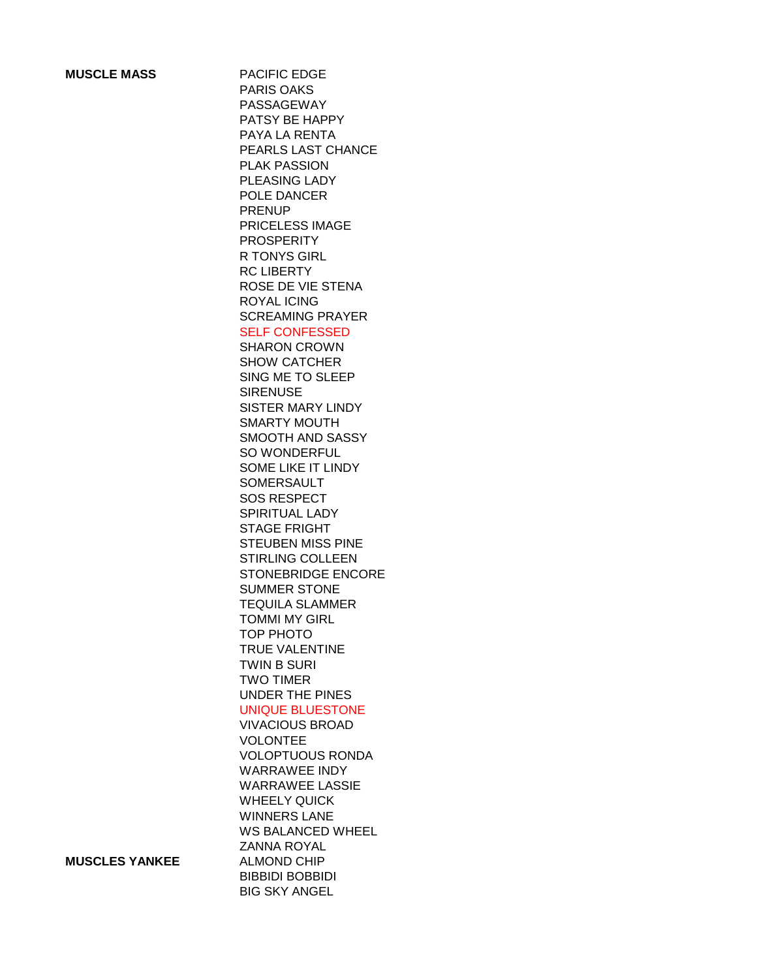**MUSCLE MASS** PACIFIC EDGE PARIS OAKS PASSAGEWAY PATSY BE HAPPY PAYA LA RENTA PEARLS LAST CHANCE PLAK PASSION PLEASING LADY POLE DANCER PRENUP PRICELESS IMAGE PROSPERITY R TONYS GIRL RC LIBERTY ROSE DE VIE STENA ROYAL ICING SCREAMING PRAYER SELF CONFESSED SHARON CROWN SHOW CATCHER SING ME TO SLEEP **SIRENUSE** SISTER MARY LINDY SMARTY MOUTH SMOOTH AND SASSY SO WONDERFUL SOME LIKE IT LINDY SOMERSAULT SOS RESPECT SPIRITUAL LADY STAGE FRIGHT STEUBEN MISS PINE STIRLING COLLEEN STONEBRIDGE ENCORE SUMMER STONE TEQUILA SLAMMER TOMMI MY GIRL TOP PHOTO TRUE VALENTINE TWIN B SURI TWO TIMER UNDER THE PINES UNIQUE BLUESTONE VIVACIOUS BROAD VOLONTEE VOLOPTUOUS RONDA WARRAWEE INDY WARRAWEE LASSIE WHEELY QUICK WINNERS LANE WS BALANCED WHEEL ZANNA ROYAL BIBBIDI BOBBIDI BIG SKY ANGEL

**MUSCLES YANKEE** ALMOND CHIP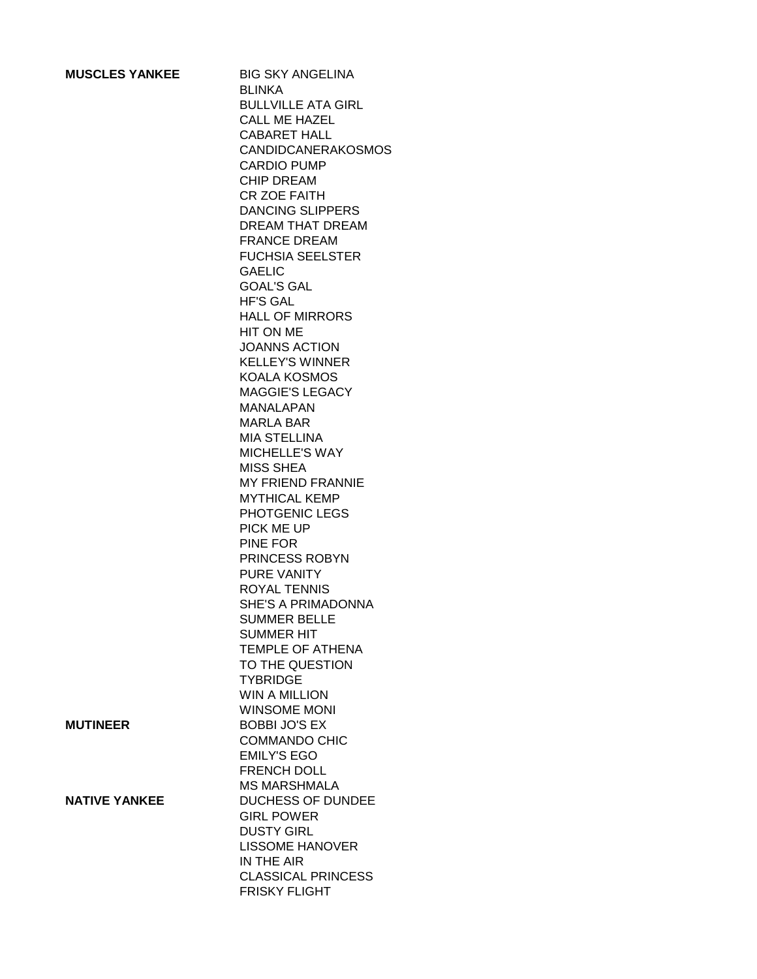| <b>MUSCLES YANKEE</b> | <b>BIG SKY ANGELINA</b><br><b>BLINKA</b><br><b>BULLVILLE ATA GIRL</b><br>CALL ME HAZEL<br>CABARET HALL<br><b>CANDIDCANERAKOSMOS</b> |
|-----------------------|-------------------------------------------------------------------------------------------------------------------------------------|
|                       | <b>CARDIO PUMP</b><br><b>CHIP DREAM</b>                                                                                             |
|                       | <b>CR ZOE FAITH</b><br><b>DANCING SLIPPERS</b>                                                                                      |
|                       | <b>DREAM THAT DREAM</b><br><b>FRANCE DREAM</b>                                                                                      |
|                       | <b>FUCHSIA SEELSTER</b>                                                                                                             |
|                       | <b>GAELIC</b><br><b>GOAL'S GAL</b>                                                                                                  |
|                       | <b>HF'S GAL</b><br><b>HALL OF MIRRORS</b>                                                                                           |
|                       | HIT ON ME<br><b>JOANNS ACTION</b>                                                                                                   |
|                       | <b>KELLEY'S WINNER</b>                                                                                                              |
|                       | <b>KOALA KOSMOS</b><br><b>MAGGIE'S LEGACY</b>                                                                                       |
|                       | <b>MANALAPAN</b><br><b>MARLA BAR</b>                                                                                                |
|                       | <b>MIA STELLINA</b><br><b>MICHELLE'S WAY</b>                                                                                        |
|                       | MISS SHEA                                                                                                                           |
|                       | <b>MY FRIEND FRANNIE</b><br><b>MYTHICAL KEMP</b>                                                                                    |
|                       | PHOTGENIC LEGS                                                                                                                      |
|                       | PICK ME UP<br>PINE FOR                                                                                                              |
|                       | PRINCESS ROBYN<br>PURE VANITY                                                                                                       |
|                       | <b>ROYAL TENNIS</b>                                                                                                                 |
|                       | SHE'S A PRIMADONNA<br><b>SUMMER BELLE</b>                                                                                           |
|                       | <b>SUMMER HIT</b><br>TEMPLE OF ATHENA                                                                                               |
|                       | TO THE QUESTION                                                                                                                     |
|                       | <b>TYBRIDGE</b><br><b>WIN A MILLION</b>                                                                                             |
|                       | <b>WINSOME MONI</b>                                                                                                                 |
| <b>MUTINEER</b>       | <b>BOBBI JO'S EX</b><br><b>COMMANDO CHIC</b>                                                                                        |
|                       | <b>EMILY'S EGO</b><br><b>FRENCH DOLL</b>                                                                                            |
|                       | <b>MS MARSHMALA</b>                                                                                                                 |
| <b>NATIVE YANKEE</b>  | <b>DUCHESS OF DUNDEE</b><br><b>GIRL POWER</b>                                                                                       |
|                       | <b>DUSTY GIRL</b><br><b>LISSOME HANOVER</b>                                                                                         |
|                       | IN THE AIR                                                                                                                          |
|                       | <b>CLASSICAL PRINCESS</b><br><b>FRISKY FLIGHT</b>                                                                                   |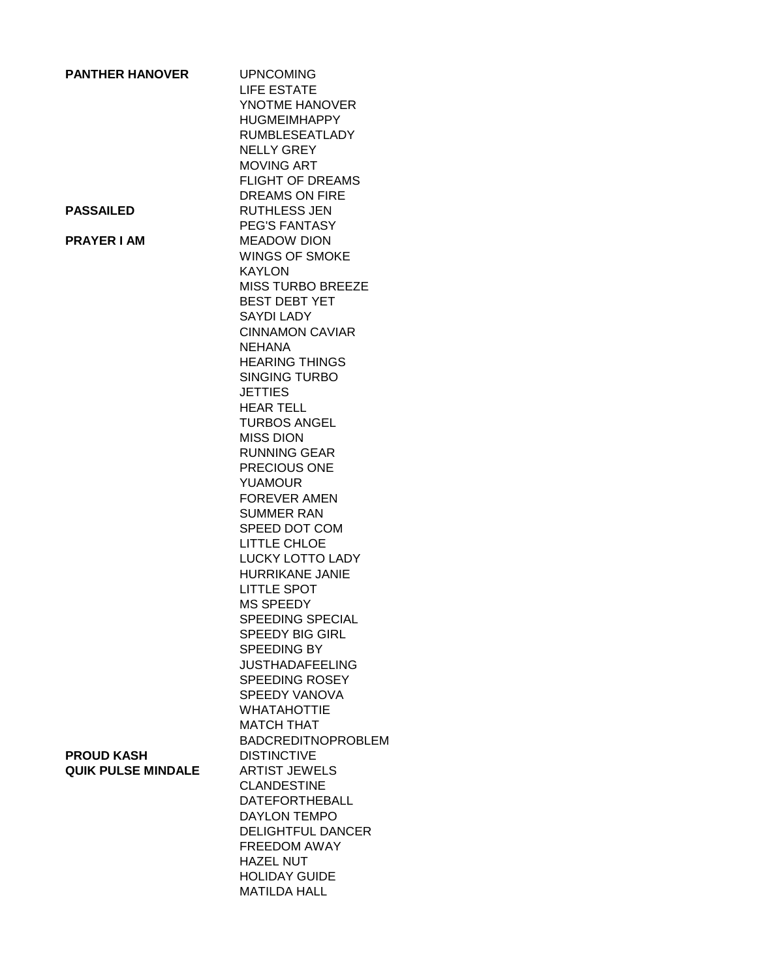| <b>PANTHER HANOVER</b>    | <b>UPNCOMING</b><br>LIFE ESTATE<br>YNOTME HANOVER<br><b>HUGMEIMHAPPY</b> |
|---------------------------|--------------------------------------------------------------------------|
|                           | <b>RUMBLESEATLADY</b>                                                    |
|                           | <b>NELLY GREY</b>                                                        |
|                           | <b>MOVING ART</b>                                                        |
|                           | <b>FLIGHT OF DREAMS</b>                                                  |
|                           | <b>DREAMS ON FIRE</b>                                                    |
| <b>PASSAILED</b>          | <b>RUTHLESS JEN</b>                                                      |
|                           | <b>PEG'S FANTASY</b>                                                     |
| <b>PRAYER I AM</b>        | <b>MEADOW DION</b><br><b>WINGS OF SMOKE</b>                              |
|                           | <b>KAYLON</b>                                                            |
|                           | <b>MISS TURBO BREEZE</b>                                                 |
|                           | <b>BEST DEBT YET</b>                                                     |
|                           | SAYDI LADY                                                               |
|                           | <b>CINNAMON CAVIAR</b>                                                   |
|                           | <b>NEHANA</b>                                                            |
|                           | <b>HEARING THINGS</b>                                                    |
|                           | <b>SINGING TURBO</b>                                                     |
|                           | <b>JETTIES</b><br><b>HEAR TELL</b>                                       |
|                           | <b>TURBOS ANGEL</b>                                                      |
|                           | <b>MISS DION</b>                                                         |
|                           | <b>RUNNING GEAR</b>                                                      |
|                           | PRECIOUS ONE                                                             |
|                           | <b>YUAMOUR</b>                                                           |
|                           | <b>FOREVER AMEN</b>                                                      |
|                           | <b>SUMMER RAN</b>                                                        |
|                           | SPEED DOT COM                                                            |
|                           | LITTLE CHLOE<br>LUCKY LOTTO LADY                                         |
|                           | HURRIKANE JANIE                                                          |
|                           | <b>LITTLE SPOT</b>                                                       |
|                           | <b>MS SPEEDY</b>                                                         |
|                           | SPEEDING SPECIAL                                                         |
|                           | <b>SPEEDY BIG GIRL</b>                                                   |
|                           | SPEEDING BY                                                              |
|                           | <b>JUSTHADAFEELING</b>                                                   |
|                           | <b>SPEEDING ROSEY</b><br>SPEEDY VANOVA                                   |
|                           | <b>WHATAHOTTIE</b>                                                       |
|                           | <b>MATCH THAT</b>                                                        |
|                           | <b>BADCREDITNOPROBLEM</b>                                                |
| <b>PROUD KASH</b>         | <b>DISTINCTIVE</b>                                                       |
| <b>QUIK PULSE MINDALE</b> | <b>ARTIST JEWELS</b>                                                     |
|                           | <b>CLANDESTINE</b>                                                       |
|                           | <b>DATEFORTHEBALL</b>                                                    |
|                           | <b>DAYLON TEMPO</b><br><b>DELIGHTFUL DANCER</b>                          |
|                           | FREEDOM AWAY                                                             |
|                           | <b>HAZEL NUT</b>                                                         |
|                           | <b>HOLIDAY GUIDE</b>                                                     |
|                           | <b>MATILDA HALL</b>                                                      |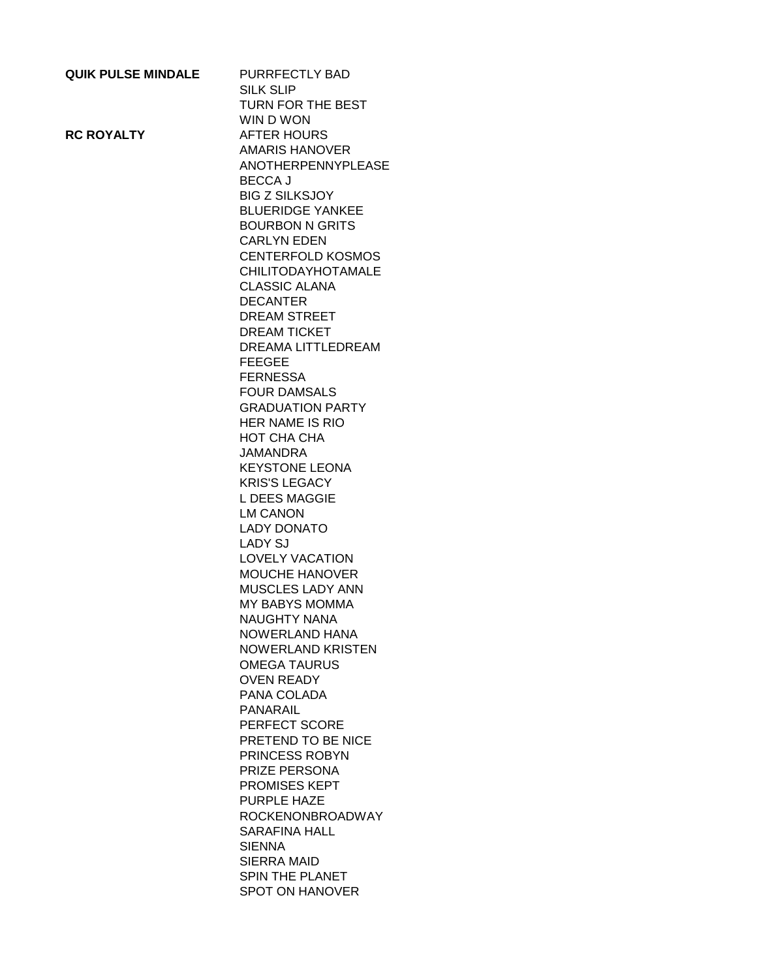| <b>QUIK PULSE MINDALE</b> | PURRFECTLY BAD            |
|---------------------------|---------------------------|
|                           | SILK SLIP                 |
|                           | TURN FOR THE BEST         |
|                           | WIN D WON                 |
| <b>RC ROYALTY</b>         | <b>AFTER HOURS</b>        |
|                           | <b>AMARIS HANOVER</b>     |
|                           | <b>ANOTHERPENNYPLEASE</b> |
|                           | <b>BECCA J</b>            |
|                           |                           |
|                           | <b>BIG Z SILKSJOY</b>     |
|                           | <b>BLUERIDGE YANKEE</b>   |
|                           | <b>BOURBON N GRITS</b>    |
|                           | <b>CARLYN EDEN</b>        |
|                           | <b>CENTERFOLD KOSMOS</b>  |
|                           | <b>CHILITODAYHOTAMALE</b> |
|                           | <b>CLASSIC ALANA</b>      |
|                           | <b>DECANTER</b>           |
|                           | <b>DREAM STREET</b>       |
|                           | <b>DREAM TICKET</b>       |
|                           | <b>DREAMA LITTLEDREAM</b> |
|                           | <b>FEEGEE</b>             |
|                           |                           |
|                           | <b>FERNESSA</b>           |
|                           | <b>FOUR DAMSALS</b>       |
|                           | <b>GRADUATION PARTY</b>   |
|                           | HER NAME IS RIO           |
|                           | <b>HOT CHA CHA</b>        |
|                           | JAMANDRA                  |
|                           | <b>KEYSTONE LEONA</b>     |
|                           | <b>KRIS'S LEGACY</b>      |
|                           | <b>L DEES MAGGIE</b>      |
|                           | <b>LM CANON</b>           |
|                           | <b>LADY DONATO</b>        |
|                           | <b>LADY SJ</b>            |
|                           | <b>LOVELY VACATION</b>    |
|                           | <b>MOUCHE HANOVER</b>     |
|                           | <b>MUSCLES LADY ANN</b>   |
|                           | <b>MY BABYS MOMMA</b>     |
|                           | <b>NAUGHTY NANA</b>       |
|                           |                           |
|                           | <b>NOWERLAND HANA</b>     |
|                           | <b>NOWERLAND KRISTEN</b>  |
|                           | <b>OMEGA TAURUS</b>       |
|                           | <b>OVEN READY</b>         |
|                           | PANA COLADA               |
|                           | <b>PANARAIL</b>           |
|                           | PERFECT SCORE             |
|                           | PRETEND TO BE NICE        |
|                           | <b>PRINCESS ROBYN</b>     |
|                           | PRIZE PERSONA             |
|                           | <b>PROMISES KEPT</b>      |
|                           | PURPLE HAZE               |
|                           | <b>ROCKENONBROADWAY</b>   |
|                           | SARAFINA HALL             |
|                           |                           |
|                           | <b>SIENNA</b>             |
|                           | SIERRA MAID               |
|                           | <b>SPIN THE PLANET</b>    |
|                           | SPOT ON HANOVER           |
|                           |                           |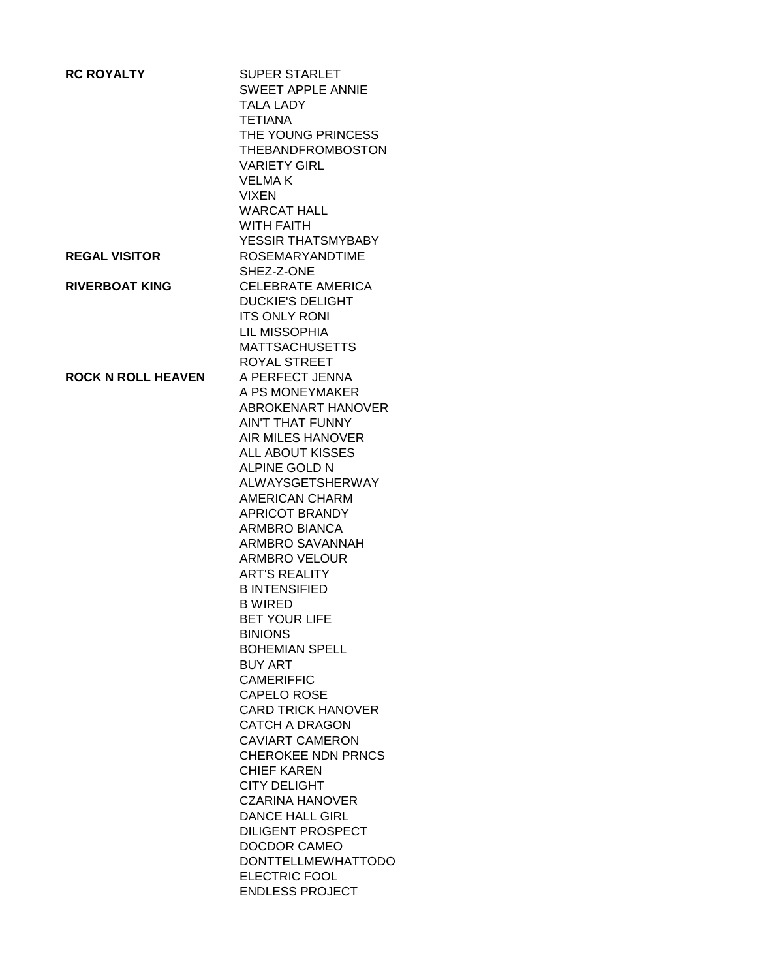| <b>RC ROYALTY</b>         | <b>SUPER STARLET</b>                   |
|---------------------------|----------------------------------------|
|                           | <b>SWEET APPLE ANNIE</b>               |
|                           | <b>TALA LADY</b>                       |
|                           | <b>TETIANA</b>                         |
|                           | THE YOUNG PRINCESS                     |
|                           | <b>THEBANDFROMBOSTON</b>               |
|                           | <b>VARIETY GIRL</b>                    |
|                           | <b>VELMAK</b>                          |
|                           | <b>VIXEN</b>                           |
|                           | <b>WARCAT HALL</b>                     |
|                           | WITH FAITH                             |
|                           | YESSIR THATSMYBABY                     |
| <b>REGAL VISITOR</b>      | <b>ROSEMARYANDTIME</b>                 |
|                           | SHEZ-Z-ONE                             |
| <b>RIVERBOAT KING</b>     | <b>CELEBRATE AMERICA</b>               |
|                           | <b>DUCKIE'S DELIGHT</b>                |
|                           | <b>ITS ONLY RONI</b>                   |
|                           | <b>LIL MISSOPHIA</b>                   |
|                           | <b>MATTSACHUSETTS</b>                  |
|                           | <b>ROYAL STREET</b><br>A PERFECT JENNA |
| <b>ROCK N ROLL HEAVEN</b> | A PS MONEYMAKER                        |
|                           | ABROKENART HANOVER                     |
|                           | <b>AIN'T THAT FUNNY</b>                |
|                           | <b>AIR MILES HANOVER</b>               |
|                           | <b>ALL ABOUT KISSES</b>                |
|                           | ALPINE GOLD N                          |
|                           | ALWAYSGETSHERWAY                       |
|                           | <b>AMERICAN CHARM</b>                  |
|                           | <b>APRICOT BRANDY</b>                  |
|                           | <b>ARMBRO BIANCA</b>                   |
|                           | <b>ARMBRO SAVANNAH</b>                 |
|                           | <b>ARMBRO VELOUR</b>                   |
|                           | <b>ART'S REALITY</b>                   |
|                           | <b>B INTENSIFIED</b>                   |
|                           | <b>B WIRED</b>                         |
|                           | BET YOUR LIFE                          |
|                           | <b>BINIONS</b>                         |
|                           | <b>BOHEMIAN SPELL</b>                  |
|                           | <b>BUY ART</b>                         |
|                           | <b>CAMERIFFIC</b>                      |
|                           | <b>CAPELO ROSE</b>                     |
|                           | <b>CARD TRICK HANOVER</b>              |
|                           | <b>CATCH A DRAGON</b>                  |
|                           | <b>CAVIART CAMERON</b>                 |
|                           | <b>CHEROKEE NDN PRNCS</b>              |
|                           | <b>CHIEF KAREN</b>                     |
|                           | <b>CITY DELIGHT</b>                    |
|                           | <b>CZARINA HANOVER</b>                 |
|                           | <b>DANCE HALL GIRL</b>                 |
|                           | <b>DILIGENT PROSPECT</b>               |
|                           | DOCDOR CAMEO                           |
|                           | <b>DONTTELLMEWHATTODO</b>              |
|                           | <b>ELECTRIC FOOL</b>                   |
|                           | <b>ENDLESS PROJECT</b>                 |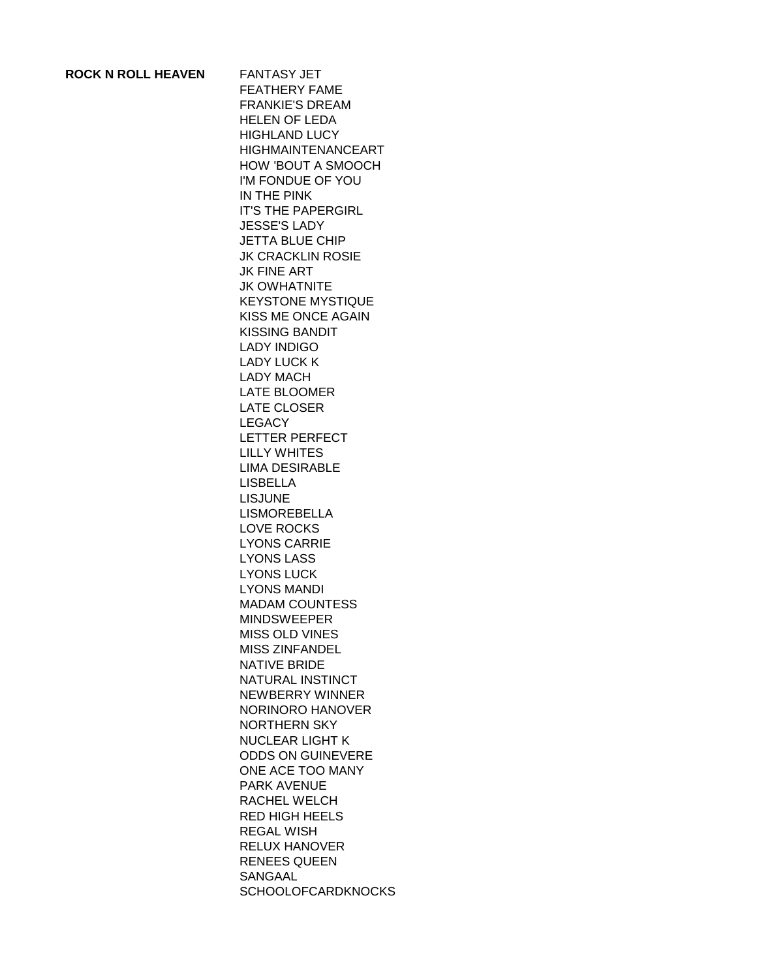## **ROCK N ROLL HEAVEN** FANTASY JET

FEATHERY FAME FRANKIE'S DREAM HELEN OF LEDA HIGHLAND LUCY HIGHMAINTENANCEART HOW 'BOUT A SMOOCH I'M FONDUE OF YOU IN THE PINK IT'S THE PAPERGIRL JESSE'S LADY JETTA BLUE CHIP JK CRACKLIN ROSIE JK FINE ART JK OWHATNITE KEYSTONE MYSTIQUE KISS ME ONCE AGAIN KISSING BANDIT LADY INDIGO LADY LUCK K LADY MACH LATE BLOOMER LATE CLOSER LEGACY LETTER PERFECT LILLY WHITES LIMA DESIRABLE LISBELLA LISJUNE LISMOREBELLA LOVE ROCKS LYONS CARRIE LYONS LASS LYONS LUCK LYONS MANDI MADAM COUNTESS MINDSWEEPER MISS OLD VINES MISS ZINFANDEL NATIVE BRIDE NATURAL INSTINCT NEWBERRY WINNER NORINORO HANOVER NORTHERN SKY NUCLEAR LIGHT K ODDS ON GUINEVERE ONE ACE TOO MANY PARK AVENUE RACHEL WELCH RED HIGH HEELS REGAL WISH RELUX HANOVER RENEES QUEEN SANGAAL **SCHOOLOFCARDKNOCKS**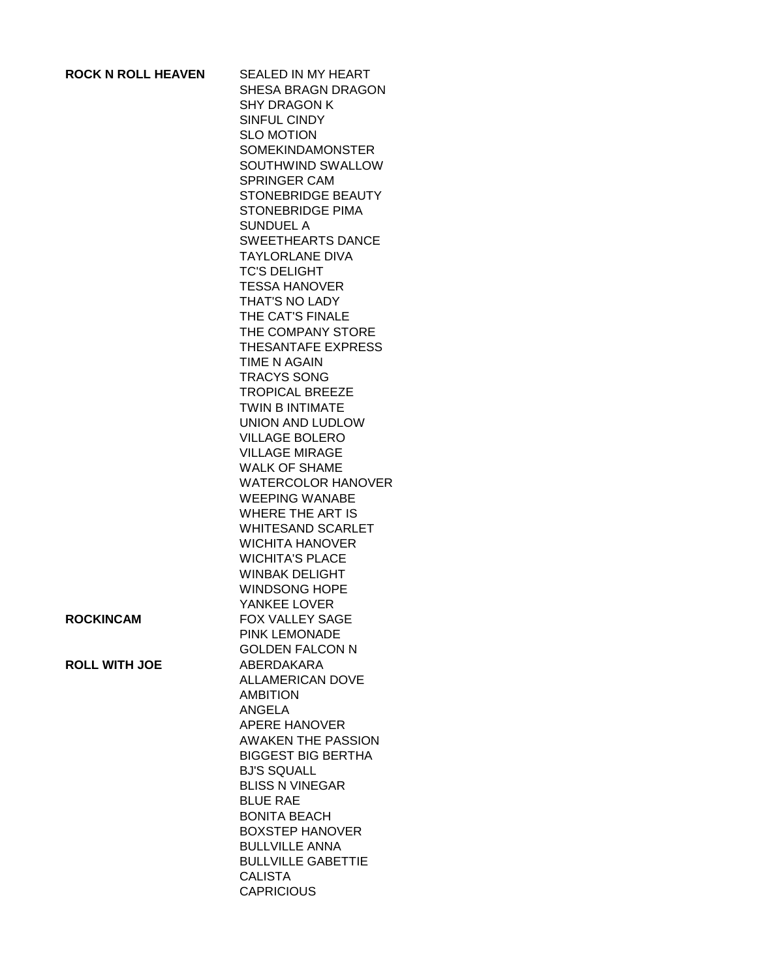| <b>ROCK N ROLL HEAVEN</b> |  |
|---------------------------|--|
|---------------------------|--|

**SEALED IN MY HEART** SHESA BRAGN DRAGON SHY DRAGON K SINFUL CINDY SLO MOTION SOMEKINDAMONSTER SOUTHWIND SWALLOW SPRINGER CAM STONEBRIDGE BEAUTY STONEBRIDGE PIMA SUNDUEL A SWEETHEARTS DANCE TAYLORLANE DIVA TC'S DELIGHT TESSA HANOVER THAT'S NO LADY THE CAT'S FINALE THE COMPANY STORE THESANTAFE EXPRESS TIME N AGAIN TRACYS SONG TROPICAL BREEZE TWIN B INTIMATE UNION AND LUDLOW VILLAGE BOLERO VILLAGE MIRAGE WALK OF SHAME WATERCOLOR HANOVER WEEPING WANABE WHERE THE ART IS WHITESAND SCARLET WICHITA HANOVER WICHITA'S PLACE WINBAK DELIGHT WINDSONG HOPE YANKEE LOVER **ROCKINCAM** FOX VALLEY SAGE PINK LEMONADE GOLDEN FALCON N **ROLL WITH JOE** ABERDAKARA ALLAMERICAN DOVE AMBITION ANGELA APERE HANOVER AWAKEN THE PASSION BIGGEST BIG BERTHA BJ'S SQUALL BLISS N VINEGAR BLUE RAE BONITA BEACH BOXSTEP HANOVER BULLVILLE ANNA BULLVILLE GABETTIE CALISTA **CAPRICIOUS**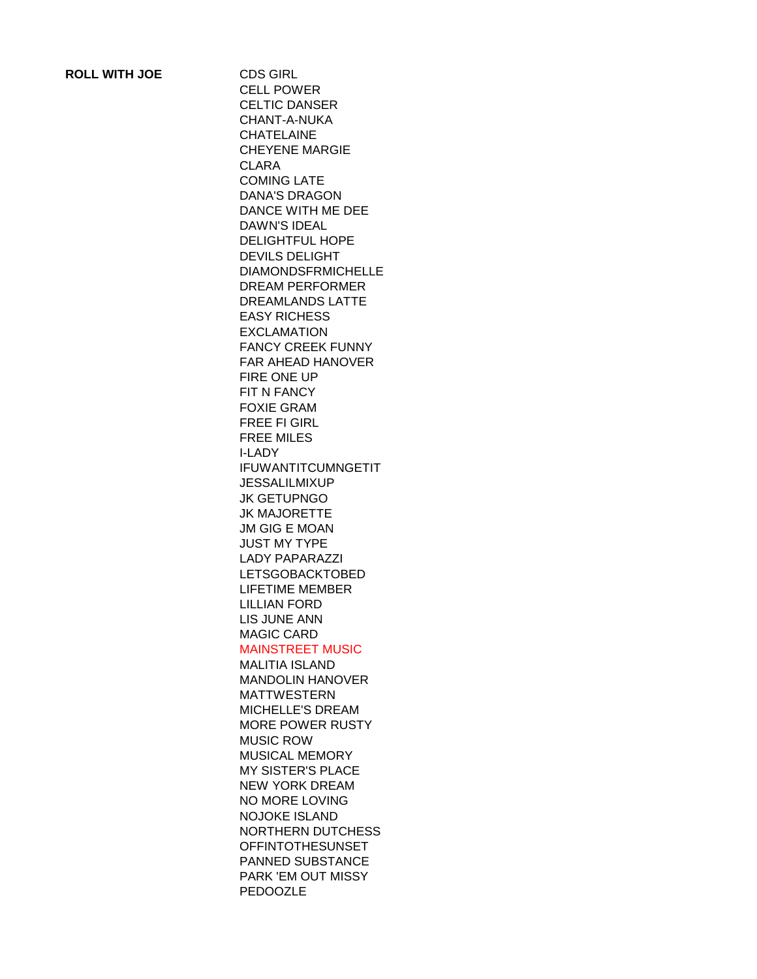CELL POWER CELTIC DANSER CHANT-A-NUKA CHATELAINE CHEYENE MARGIE CLARA COMING LATE DANA'S DRAGON DANCE WITH ME DEE DAWN'S IDEAL DELIGHTFUL HOPE DEVILS DELIGHT DIAMONDSFRMICHELLE DREAM PERFORMER DREAMLANDS LATTE EASY RICHESS EXCLAMATION FANCY CREEK FUNNY FAR AHEAD HANOVER FIRE ONE UP FIT N FANCY FOXIE GRAM FREE FI GIRL FREE MILES I-LADY IFUWANTITCUMNGETIT **JESSALILMIXUP** JK GETUPNGO JK MAJORETTE JM GIG E MOAN JUST MY TYPE LADY PAPARAZZI LETSGOBACKTOBED LIFETIME MEMBER LILLIAN FORD LIS JUNE ANN MAGIC CARD MAINSTREET MUSIC MALITIA ISLAND MANDOLIN HANOVER MATTWESTERN MICHELLE'S DREAM MORE POWER RUSTY MUSIC ROW MUSICAL MEMORY MY SISTER'S PLACE NEW YORK DREAM NO MORE LOVING NOJOKE ISLAND NORTHERN DUTCHESS OFFINTOTHESUNSET PANNED SUBSTANCE PARK 'EM OUT MISSY PEDOOZLE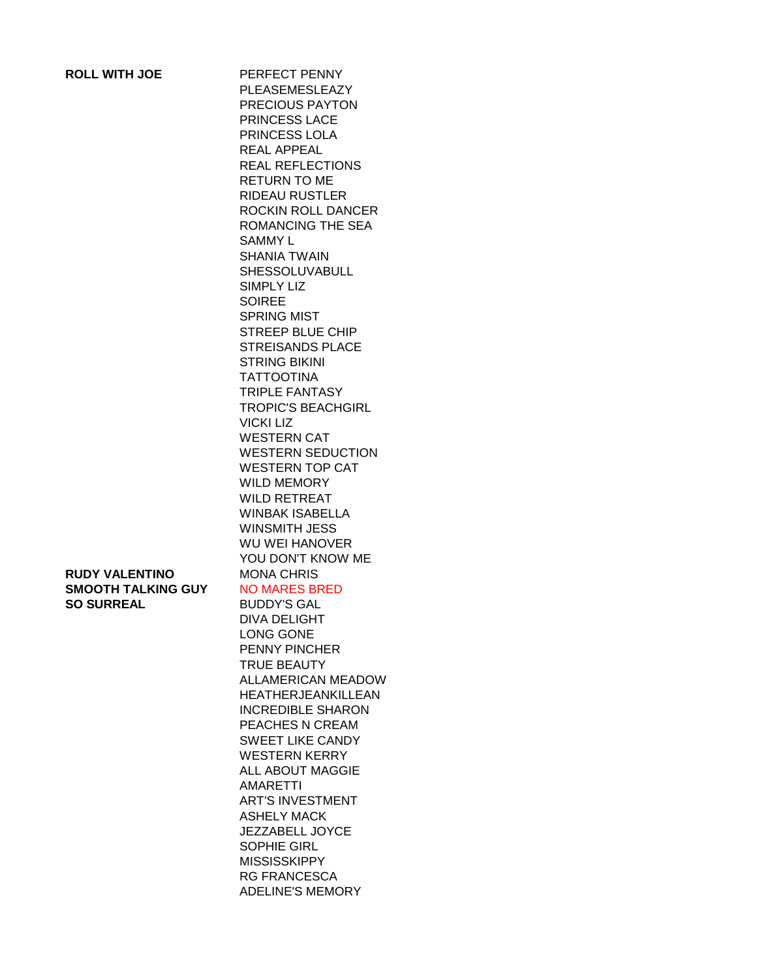| <b>ROLL WITH JOE</b>                                             | PERFECT PENNY<br>PLEASEMESLEAZY<br>PRECIOUS PAYTON<br>PRINCESS LACE<br>PRINCESS LOLA<br><b>REAL APPEAL</b><br><b>REAL REFLECTIONS</b><br><b>RETURN TO ME</b><br><b>RIDEAU RUSTLER</b><br>ROCKIN ROLL DANCER<br><b>ROMANCING THE SEA</b><br><b>SAMMY L</b><br><b>SHANIA TWAIN</b><br><b>SHESSOLUVABULL</b><br><b>SIMPLY LIZ</b><br><b>SOIREE</b><br><b>SPRING MIST</b><br><b>STREEP BLUE CHIP</b><br><b>STREISANDS PLACE</b>     |
|------------------------------------------------------------------|---------------------------------------------------------------------------------------------------------------------------------------------------------------------------------------------------------------------------------------------------------------------------------------------------------------------------------------------------------------------------------------------------------------------------------|
|                                                                  | <b>STRING BIKINI</b><br><b>TATTOOTINA</b><br><b>TRIPLE FANTASY</b><br><b>TROPIC'S BEACHGIRL</b><br><b>VICKI LIZ</b><br><b>WESTERN CAT</b><br><b>WESTERN SEDUCTION</b><br><b>WESTERN TOP CAT</b><br><b>WILD MEMORY</b><br><b>WILD RETREAT</b><br><b>WINBAK ISABELLA</b><br><b>WINSMITH JESS</b><br><b>WU WEI HANOVER</b><br>YOU DON'T KNOW ME                                                                                    |
| RUDY VALENTINO<br><b>SMOOTH TALKING GUY</b><br><b>SO SURREAL</b> | <b>MONA CHRIS</b><br><b>NO MARES BRED</b><br><b>BUDDY'S GAL</b><br><b>DIVA DELIGHT</b><br><b>LONG GONE</b><br><b>PENNY PINCHER</b><br><b>TRUE BEAUTY</b><br>ALLAMERICAN MEADOW<br><b>HEATHERJEANKILLEAN</b><br><b>INCREDIBLE SHARON</b><br>PEACHES N CREAM<br><b>SWEET LIKE CANDY</b><br><b>WESTERN KERRY</b><br><b>ALL ABOUT MAGGIE</b><br><b>AMARETTI</b><br><b>ART'S INVESTMENT</b><br><b>ASHELY MACK</b><br>JEZZABELL JOYCE |

SOPHIE GIRL MISSISSKIPPY RG FRANCESCA ADELINE'S MEMORY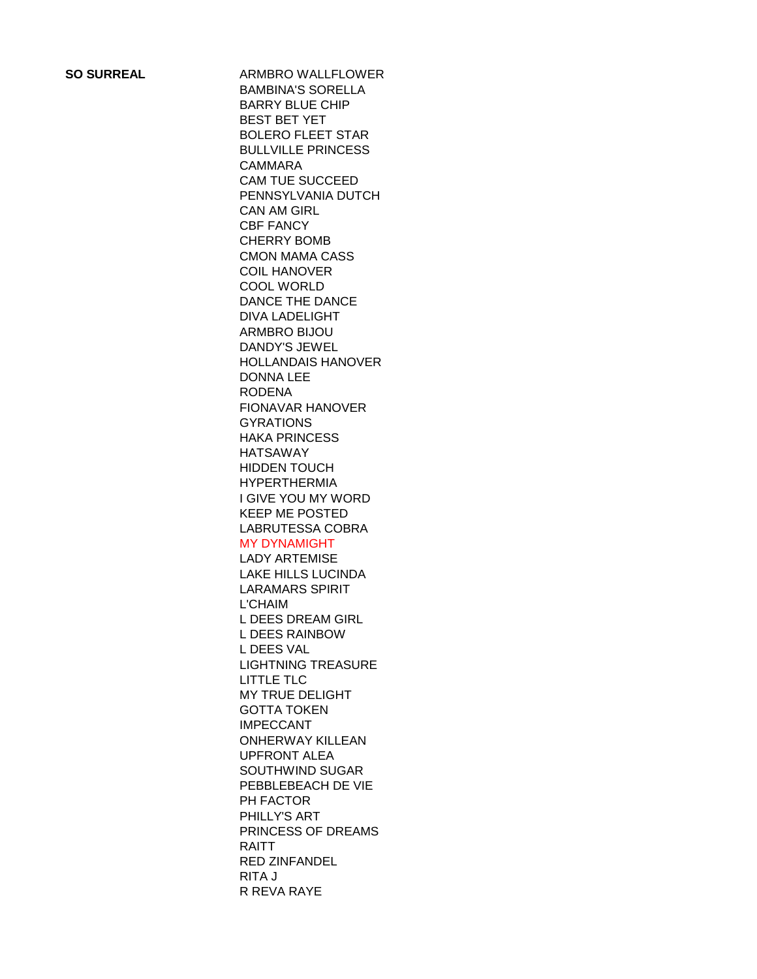**SO SURREAL** ARMBRO WALLFLOWER BAMBINA'S SORELLA BARRY BLUE CHIP BEST BET YET BOLERO FLEET STAR BULLVILLE PRINCESS CAMMARA CAM TUE SUCCEED PENNSYLVANIA DUTCH CAN AM GIRL CBF FANCY CHERRY BOMB CMON MAMA CASS COIL HANOVER COOL WORLD DANCE THE DANCE DIVA LADELIGHT ARMBRO BIJOU DANDY'S JEWEL HOLLANDAIS HANOVER DONNA LEE RODENA FIONAVAR HANOVER GYRATIONS HAKA PRINCESS HATSAWAY HIDDEN TOUCH HYPERTHERMIA I GIVE YOU MY WORD KEEP ME POSTED LABRUTESSA COBRA MY DYNAMIGHT LADY ARTEMISE LAKE HILLS LUCINDA LARAMARS SPIRIT L'CHAIM L DEES DREAM GIRL L DEES RAINBOW L DEES VAL LIGHTNING TREASURE LITTLE TLC MY TRUE DELIGHT GOTTA TOKEN IMPECCANT ONHERWAY KILLEAN UPFRONT ALEA SOUTHWIND SUGAR PEBBLEBEACH DE VIE PH FACTOR PHILLY'S ART PRINCESS OF DREAMS RAITT RED ZINFANDEL RITA J R REVA RAYE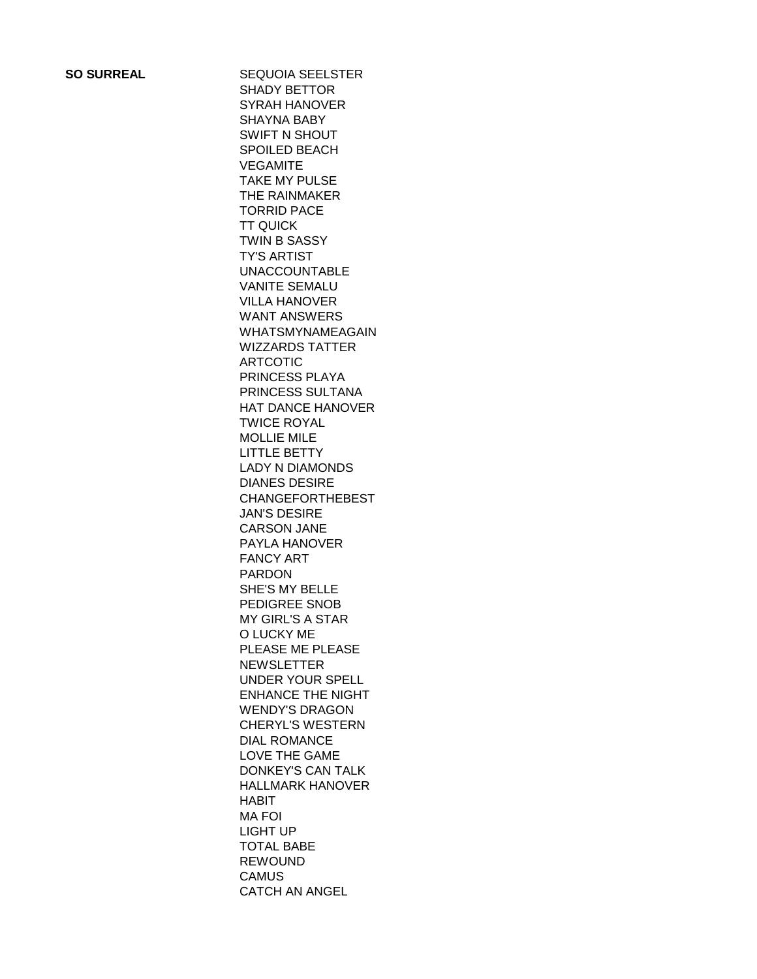**SO SURREAL** SEQUOIA SEELSTER SHADY BETTOR SYRAH HANOVER SHAYNA BABY SWIFT N SHOUT SPOILED BEACH **VEGAMITE** TAKE MY PULSE THE RAINMAKER TORRID PACE TT QUICK TWIN B SASSY TY'S ARTIST UNACCOUNTABLE VANITE SEMALU VILLA HANOVER WANT ANSWERS WHATSMYNAMEAGAIN WIZZARDS TATTER ARTCOTIC PRINCESS PLAYA PRINCESS SULTANA HAT DANCE HANOVER TWICE ROYAL MOLLIE MILE LITTLE BETTY LADY N DIAMONDS DIANES DESIRE CHANGEFORTHEBEST JAN'S DESIRE CARSON JANE PAYLA HANOVER FANCY ART PARDON SHE'S MY BELLE PEDIGREE SNOB MY GIRL'S A STAR O LUCKY ME PLEASE ME PLEASE NEWSLETTER UNDER YOUR SPELL ENHANCE THE NIGHT WENDY'S DRAGON CHERYL'S WESTERN DIAL ROMANCE LOVE THE GAME DONKEY'S CAN TALK HALLMARK HANOVER HABIT MA FOI LIGHT UP TOTAL BABE REWOUND **CAMUS** CATCH AN ANGEL